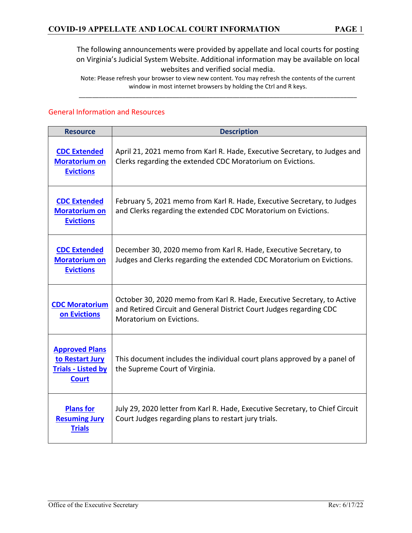Note: Please refresh your browser to view new content. You may refresh the contents of the current window in most internet browsers by holding the Ctrl and R keys. \_\_\_\_\_\_\_\_\_\_\_\_\_\_\_\_\_\_\_\_\_\_\_\_\_\_\_\_\_\_\_\_\_\_\_\_\_\_\_\_\_\_\_\_\_\_\_\_\_\_\_\_\_\_\_\_\_\_\_\_\_\_\_\_\_\_\_\_\_\_\_\_\_\_\_\_\_\_\_\_\_\_\_

#### General Information and Resources

| <b>Resource</b>                                                                       | <b>Description</b>                                                                                                                                                         |
|---------------------------------------------------------------------------------------|----------------------------------------------------------------------------------------------------------------------------------------------------------------------------|
| <b>CDC Extended</b><br><b>Moratorium on</b><br><b>Evictions</b>                       | April 21, 2021 memo from Karl R. Hade, Executive Secretary, to Judges and<br>Clerks regarding the extended CDC Moratorium on Evictions.                                    |
| <b>CDC Extended</b><br><b>Moratorium on</b><br><b>Evictions</b>                       | February 5, 2021 memo from Karl R. Hade, Executive Secretary, to Judges<br>and Clerks regarding the extended CDC Moratorium on Evictions.                                  |
| <b>CDC Extended</b><br><b>Moratorium on</b><br><b>Evictions</b>                       | December 30, 2020 memo from Karl R. Hade, Executive Secretary, to<br>Judges and Clerks regarding the extended CDC Moratorium on Evictions.                                 |
| <b>CDC Moratorium</b><br>on Evictions                                                 | October 30, 2020 memo from Karl R. Hade, Executive Secretary, to Active<br>and Retired Circuit and General District Court Judges regarding CDC<br>Moratorium on Evictions. |
| <b>Approved Plans</b><br>to Restart Jury<br><b>Trials - Listed by</b><br><b>Court</b> | This document includes the individual court plans approved by a panel of<br>the Supreme Court of Virginia.                                                                 |
| <b>Plans for</b><br><b>Resuming Jury</b><br><b>Trials</b>                             | July 29, 2020 letter from Karl R. Hade, Executive Secretary, to Chief Circuit<br>Court Judges regarding plans to restart jury trials.                                      |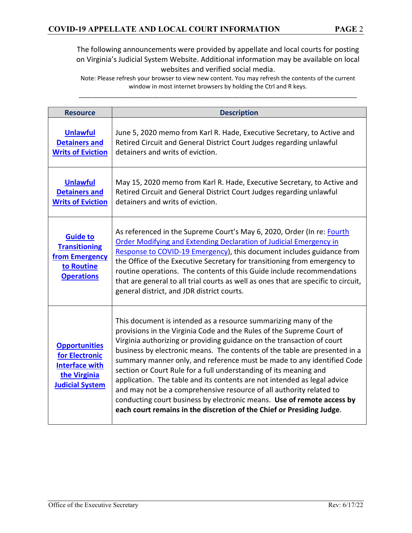| <b>Resource</b>                                                                                           | <b>Description</b>                                                                                                                                                                                                                                                                                                                                                                                                                                                                                                                                                                                                                                                                                                                                    |
|-----------------------------------------------------------------------------------------------------------|-------------------------------------------------------------------------------------------------------------------------------------------------------------------------------------------------------------------------------------------------------------------------------------------------------------------------------------------------------------------------------------------------------------------------------------------------------------------------------------------------------------------------------------------------------------------------------------------------------------------------------------------------------------------------------------------------------------------------------------------------------|
| <b>Unlawful</b><br><b>Detainers and</b><br><b>Writs of Eviction</b>                                       | June 5, 2020 memo from Karl R. Hade, Executive Secretary, to Active and<br>Retired Circuit and General District Court Judges regarding unlawful<br>detainers and writs of eviction.                                                                                                                                                                                                                                                                                                                                                                                                                                                                                                                                                                   |
| <b>Unlawful</b><br><b>Detainers and</b><br><b>Writs of Eviction</b>                                       | May 15, 2020 memo from Karl R. Hade, Executive Secretary, to Active and<br>Retired Circuit and General District Court Judges regarding unlawful<br>detainers and writs of eviction.                                                                                                                                                                                                                                                                                                                                                                                                                                                                                                                                                                   |
| <b>Guide to</b><br><b>Transitioning</b><br>from Emergency<br>to Routine<br><b>Operations</b>              | As referenced in the Supreme Court's May 6, 2020, Order (In re: Fourth<br>Order Modifying and Extending Declaration of Judicial Emergency in<br>Response to COVID-19 Emergency), this document includes guidance from<br>the Office of the Executive Secretary for transitioning from emergency to<br>routine operations. The contents of this Guide include recommendations<br>that are general to all trial courts as well as ones that are specific to circuit,<br>general district, and JDR district courts.                                                                                                                                                                                                                                      |
| <b>Opportunities</b><br>for Electronic<br><b>Interface with</b><br>the Virginia<br><b>Judicial System</b> | This document is intended as a resource summarizing many of the<br>provisions in the Virginia Code and the Rules of the Supreme Court of<br>Virginia authorizing or providing guidance on the transaction of court<br>business by electronic means. The contents of the table are presented in a<br>summary manner only, and reference must be made to any identified Code<br>section or Court Rule for a full understanding of its meaning and<br>application. The table and its contents are not intended as legal advice<br>and may not be a comprehensive resource of all authority related to<br>conducting court business by electronic means. Use of remote access by<br>each court remains in the discretion of the Chief or Presiding Judge. |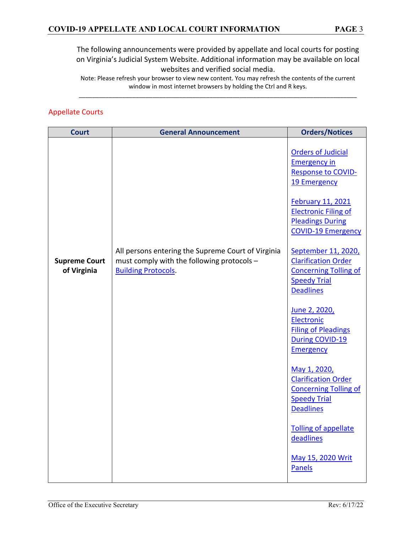Note: Please refresh your browser to view new content. You may refresh the contents of the current window in most internet browsers by holding the Ctrl and R keys. \_\_\_\_\_\_\_\_\_\_\_\_\_\_\_\_\_\_\_\_\_\_\_\_\_\_\_\_\_\_\_\_\_\_\_\_\_\_\_\_\_\_\_\_\_\_\_\_\_\_\_\_\_\_\_\_\_\_\_\_\_\_\_\_\_\_\_\_\_\_\_\_\_\_\_\_\_\_\_\_\_\_\_

#### Appellate Courts

| <b>Court</b>                        | <b>General Announcement</b>                                                                                                    | <b>Orders/Notices</b>                                                                                                        |
|-------------------------------------|--------------------------------------------------------------------------------------------------------------------------------|------------------------------------------------------------------------------------------------------------------------------|
|                                     |                                                                                                                                | <b>Orders of Judicial</b><br><b>Emergency in</b><br><b>Response to COVID-</b><br>19 Emergency<br><b>February 11, 2021</b>    |
|                                     |                                                                                                                                | <b>Electronic Filing of</b><br><b>Pleadings During</b><br><b>COVID-19 Emergency</b>                                          |
| <b>Supreme Court</b><br>of Virginia | All persons entering the Supreme Court of Virginia<br>must comply with the following protocols -<br><b>Building Protocols.</b> | September 11, 2020,<br><b>Clarification Order</b><br><b>Concerning Tolling of</b><br><b>Speedy Trial</b><br><b>Deadlines</b> |
|                                     |                                                                                                                                | June 2, 2020,<br>Electronic<br><b>Filing of Pleadings</b><br><b>During COVID-19</b><br><b>Emergency</b>                      |
|                                     |                                                                                                                                | May 1, 2020,<br><b>Clarification Order</b><br><b>Concerning Tolling of</b><br><b>Speedy Trial</b><br><b>Deadlines</b>        |
|                                     |                                                                                                                                | Tolling of appellate<br>deadlines                                                                                            |
|                                     |                                                                                                                                | May 15, 2020 Writ<br>Panels                                                                                                  |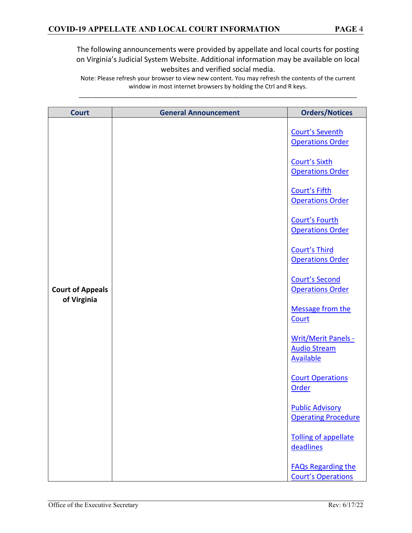| <b>Court</b>                           | <b>General Announcement</b> | <b>Orders/Notices</b>                                                 |
|----------------------------------------|-----------------------------|-----------------------------------------------------------------------|
|                                        |                             | <b>Court's Seventh</b><br><b>Operations Order</b>                     |
|                                        |                             | <b>Court's Sixth</b><br><b>Operations Order</b>                       |
|                                        |                             | Court's Fifth<br><b>Operations Order</b>                              |
|                                        |                             | <b>Court's Fourth</b><br><b>Operations Order</b>                      |
| <b>Court of Appeals</b><br>of Virginia |                             | <b>Court's Third</b><br><b>Operations Order</b>                       |
|                                        |                             | <b>Court's Second</b><br><b>Operations Order</b>                      |
|                                        |                             | <b>Message from the</b><br>Court                                      |
|                                        |                             | <b>Writ/Merit Panels -</b><br><b>Audio Stream</b><br><b>Available</b> |
|                                        |                             | <b>Court Operations</b><br>Order                                      |
|                                        |                             | <b>Public Advisory</b><br><b>Operating Procedure</b>                  |
|                                        |                             | Tolling of appellate<br>deadlines                                     |
|                                        |                             | <b>FAQs Regarding the</b><br><b>Court's Operations</b>                |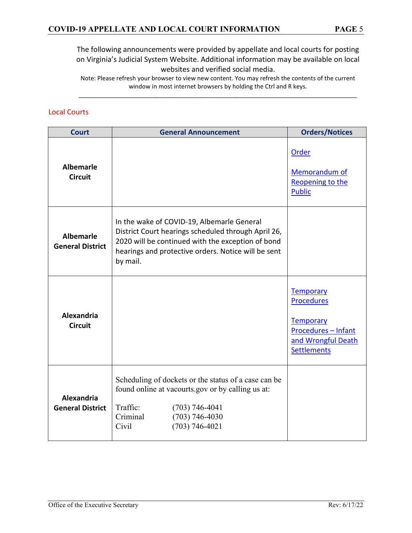Note: Please refresh your browser to view new content. You may refresh the contents of the current window in most internet browsers by holding the Ctrl and R keys. \_\_\_\_\_\_\_\_\_\_\_\_\_\_\_\_\_\_\_\_\_\_\_\_\_\_\_\_\_\_\_\_\_\_\_\_\_\_\_\_\_\_\_\_\_\_\_\_\_\_\_\_\_\_\_\_\_\_\_\_\_\_\_\_\_\_\_\_\_\_\_\_\_\_\_\_\_\_\_\_\_\_\_

#### Local Courts

| <b>Court</b>                                 | <b>General Announcement</b>                                                                                                                                                                                               | <b>Orders/Notices</b>                                                                                                        |
|----------------------------------------------|---------------------------------------------------------------------------------------------------------------------------------------------------------------------------------------------------------------------------|------------------------------------------------------------------------------------------------------------------------------|
| <b>Albemarle</b><br><b>Circuit</b>           |                                                                                                                                                                                                                           | Order<br>Memorandum of<br>Reopening to the<br><b>Public</b>                                                                  |
| <b>Albemarle</b><br><b>General District</b>  | In the wake of COVID-19, Albemarle General<br>District Court hearings scheduled through April 26,<br>2020 will be continued with the exception of bond<br>hearings and protective orders. Notice will be sent<br>by mail. |                                                                                                                              |
| <b>Alexandria</b><br><b>Circuit</b>          |                                                                                                                                                                                                                           | <b>Temporary</b><br><b>Procedures</b><br><b>Temporary</b><br>Procedures - Infant<br>and Wrongful Death<br><b>Settlements</b> |
| <b>Alexandria</b><br><b>General District</b> | Scheduling of dockets or the status of a case can be<br>found online at vacourts.gov or by calling us at:<br>Traffic:<br>$(703) 746 - 4041$<br>$(703) 746 - 4030$<br>Criminal<br>$(703) 746 - 4021$<br>Civil              |                                                                                                                              |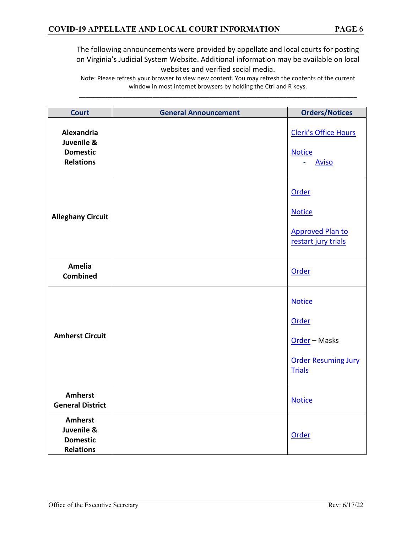| <b>Court</b>                                                        | <b>General Announcement</b> | <b>Orders/Notices</b>                                                                  |
|---------------------------------------------------------------------|-----------------------------|----------------------------------------------------------------------------------------|
| Alexandria<br>Juvenile &<br><b>Domestic</b><br><b>Relations</b>     |                             | <b>Clerk's Office Hours</b><br><b>Notice</b><br><b>Aviso</b>                           |
| <b>Alleghany Circuit</b>                                            |                             | Order<br><b>Notice</b><br><b>Approved Plan to</b><br>restart jury trials               |
| <b>Amelia</b><br><b>Combined</b>                                    |                             | Order                                                                                  |
| <b>Amherst Circuit</b>                                              |                             | <b>Notice</b><br>Order<br>Order - Masks<br><b>Order Resuming Jury</b><br><b>Trials</b> |
| <b>Amherst</b><br><b>General District</b>                           |                             | <b>Notice</b>                                                                          |
| <b>Amherst</b><br>Juvenile &<br><b>Domestic</b><br><b>Relations</b> |                             | Order                                                                                  |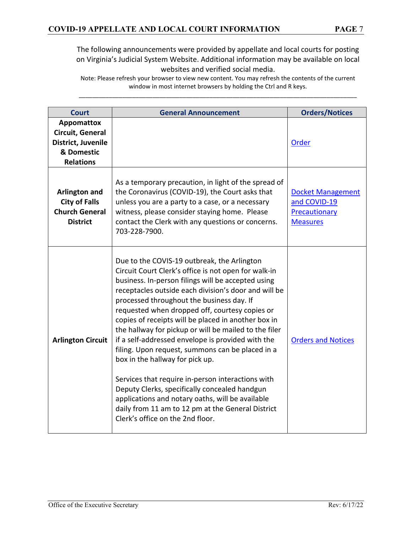| <b>Court</b>                                                                                  | <b>General Announcement</b>                                                                                                                                                                                                                                                                                                                                                                                                                                                                                                                                                                                                                                                                                                                                                                                                     | <b>Orders/Notices</b>                                                        |
|-----------------------------------------------------------------------------------------------|---------------------------------------------------------------------------------------------------------------------------------------------------------------------------------------------------------------------------------------------------------------------------------------------------------------------------------------------------------------------------------------------------------------------------------------------------------------------------------------------------------------------------------------------------------------------------------------------------------------------------------------------------------------------------------------------------------------------------------------------------------------------------------------------------------------------------------|------------------------------------------------------------------------------|
| <b>Appomattox</b><br>Circuit, General<br>District, Juvenile<br>& Domestic<br><b>Relations</b> |                                                                                                                                                                                                                                                                                                                                                                                                                                                                                                                                                                                                                                                                                                                                                                                                                                 | <b>Order</b>                                                                 |
| <b>Arlington and</b><br><b>City of Falls</b><br><b>Church General</b><br><b>District</b>      | As a temporary precaution, in light of the spread of<br>the Coronavirus (COVID-19), the Court asks that<br>unless you are a party to a case, or a necessary<br>witness, please consider staying home. Please<br>contact the Clerk with any questions or concerns.<br>703-228-7900.                                                                                                                                                                                                                                                                                                                                                                                                                                                                                                                                              | <b>Docket Management</b><br>and COVID-19<br>Precautionary<br><b>Measures</b> |
| <b>Arlington Circuit</b>                                                                      | Due to the COVIS-19 outbreak, the Arlington<br>Circuit Court Clerk's office is not open for walk-in<br>business. In-person filings will be accepted using<br>receptacles outside each division's door and will be<br>processed throughout the business day. If<br>requested when dropped off, courtesy copies or<br>copies of receipts will be placed in another box in<br>the hallway for pickup or will be mailed to the filer<br>if a self-addressed envelope is provided with the<br>filing. Upon request, summons can be placed in a<br>box in the hallway for pick up.<br>Services that require in-person interactions with<br>Deputy Clerks, specifically concealed handgun<br>applications and notary oaths, will be available<br>daily from 11 am to 12 pm at the General District<br>Clerk's office on the 2nd floor. | <b>Orders and Notices</b>                                                    |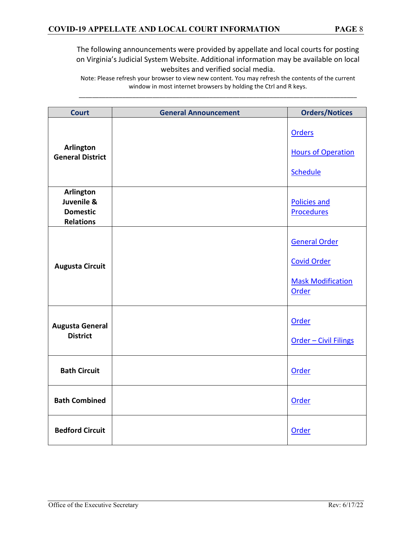| <b>Court</b>                                                   | <b>General Announcement</b> | <b>Orders/Notices</b>                                                           |
|----------------------------------------------------------------|-----------------------------|---------------------------------------------------------------------------------|
| <b>Arlington</b><br><b>General District</b>                    |                             | <b>Orders</b><br><b>Hours of Operation</b><br>Schedule                          |
| Arlington<br>Juvenile &<br><b>Domestic</b><br><b>Relations</b> |                             | <b>Policies and</b><br><b>Procedures</b>                                        |
| <b>Augusta Circuit</b>                                         |                             | <b>General Order</b><br><b>Covid Order</b><br><b>Mask Modification</b><br>Order |
| <b>Augusta General</b><br><b>District</b>                      |                             | Order<br><b>Order - Civil Filings</b>                                           |
| <b>Bath Circuit</b>                                            |                             | Order                                                                           |
| <b>Bath Combined</b>                                           |                             | Order                                                                           |
| <b>Bedford Circuit</b>                                         |                             | Order                                                                           |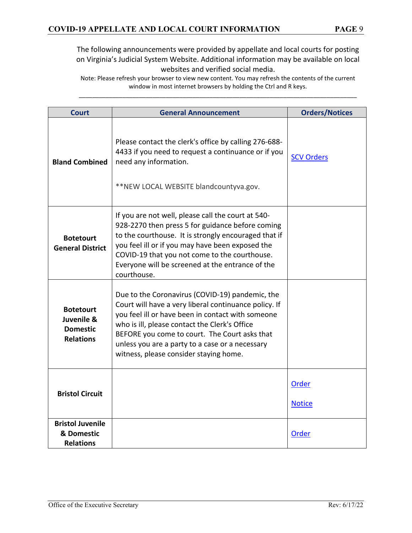| <b>Court</b>                                                          | <b>General Announcement</b>                                                                                                                                                                                                                                                                                                                                  | <b>Orders/Notices</b>         |
|-----------------------------------------------------------------------|--------------------------------------------------------------------------------------------------------------------------------------------------------------------------------------------------------------------------------------------------------------------------------------------------------------------------------------------------------------|-------------------------------|
| <b>Bland Combined</b>                                                 | Please contact the clerk's office by calling 276-688-<br>4433 if you need to request a continuance or if you<br>need any information.<br>**NEW LOCAL WEBSITE blandcountyva.gov.                                                                                                                                                                              | <b>SCV Orders</b>             |
| <b>Botetourt</b><br><b>General District</b>                           | If you are not well, please call the court at 540-<br>928-2270 then press 5 for guidance before coming<br>to the courthouse. It is strongly encouraged that if<br>you feel ill or if you may have been exposed the<br>COVID-19 that you not come to the courthouse.<br>Everyone will be screened at the entrance of the<br>courthouse.                       |                               |
| <b>Botetourt</b><br>Juvenile &<br><b>Domestic</b><br><b>Relations</b> | Due to the Coronavirus (COVID-19) pandemic, the<br>Court will have a very liberal continuance policy. If<br>you feel ill or have been in contact with someone<br>who is ill, please contact the Clerk's Office<br>BEFORE you come to court. The Court asks that<br>unless you are a party to a case or a necessary<br>witness, please consider staying home. |                               |
| <b>Bristol Circuit</b>                                                |                                                                                                                                                                                                                                                                                                                                                              | <b>Order</b><br><b>Notice</b> |
| <b>Bristol Juvenile</b><br>& Domestic<br><b>Relations</b>             |                                                                                                                                                                                                                                                                                                                                                              | Order                         |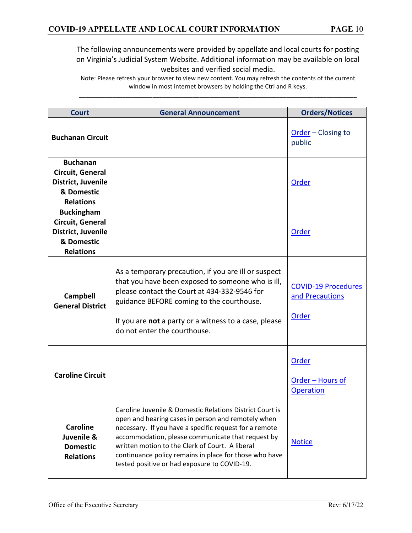| <b>Court</b>                                                                                  | <b>General Announcement</b>                                                                                                                                                                                                                                                                                                                                                                | <b>Orders/Notices</b>                                  |
|-----------------------------------------------------------------------------------------------|--------------------------------------------------------------------------------------------------------------------------------------------------------------------------------------------------------------------------------------------------------------------------------------------------------------------------------------------------------------------------------------------|--------------------------------------------------------|
| <b>Buchanan Circuit</b>                                                                       |                                                                                                                                                                                                                                                                                                                                                                                            | Order - Closing to<br>public                           |
| <b>Buchanan</b><br>Circuit, General<br>District, Juvenile<br>& Domestic<br><b>Relations</b>   |                                                                                                                                                                                                                                                                                                                                                                                            | <b>Order</b>                                           |
| <b>Buckingham</b><br>Circuit, General<br>District, Juvenile<br>& Domestic<br><b>Relations</b> |                                                                                                                                                                                                                                                                                                                                                                                            | Order                                                  |
| <b>Campbell</b><br><b>General District</b>                                                    | As a temporary precaution, if you are ill or suspect<br>that you have been exposed to someone who is ill,<br>please contact the Court at 434-332-9546 for<br>guidance BEFORE coming to the courthouse.<br>If you are not a party or a witness to a case, please<br>do not enter the courthouse.                                                                                            | <b>COVID-19 Procedures</b><br>and Precautions<br>Order |
| <b>Caroline Circuit</b>                                                                       |                                                                                                                                                                                                                                                                                                                                                                                            | <b>Order</b><br>Order - Hours of<br><b>Operation</b>   |
| <b>Caroline</b><br>Juvenile &<br><b>Domestic</b><br><b>Relations</b>                          | Caroline Juvenile & Domestic Relations District Court is<br>open and hearing cases in person and remotely when<br>necessary. If you have a specific request for a remote<br>accommodation, please communicate that request by<br>written motion to the Clerk of Court. A liberal<br>continuance policy remains in place for those who have<br>tested positive or had exposure to COVID-19. | <b>Notice</b>                                          |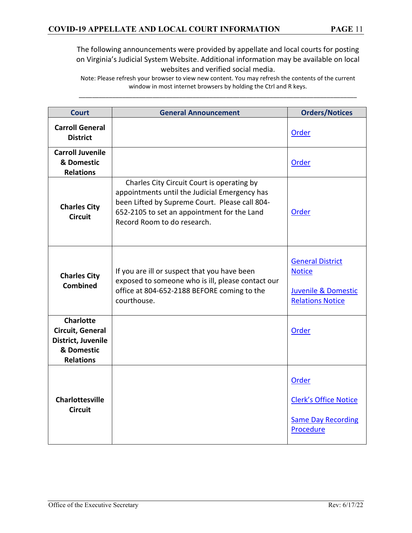| <b>Court</b>                                                                                 | <b>General Announcement</b>                                                                                                                                                                                                 | <b>Orders/Notices</b>                                                                                 |
|----------------------------------------------------------------------------------------------|-----------------------------------------------------------------------------------------------------------------------------------------------------------------------------------------------------------------------------|-------------------------------------------------------------------------------------------------------|
| <b>Carroll General</b><br><b>District</b>                                                    |                                                                                                                                                                                                                             | Order                                                                                                 |
| <b>Carroll Juvenile</b><br>& Domestic<br><b>Relations</b>                                    |                                                                                                                                                                                                                             | Order                                                                                                 |
| <b>Charles City</b><br><b>Circuit</b>                                                        | Charles City Circuit Court is operating by<br>appointments until the Judicial Emergency has<br>been Lifted by Supreme Court. Please call 804-<br>652-2105 to set an appointment for the Land<br>Record Room to do research. | Order                                                                                                 |
| <b>Charles City</b><br>Combined                                                              | If you are ill or suspect that you have been<br>exposed to someone who is ill, please contact our<br>office at 804-652-2188 BEFORE coming to the<br>courthouse.                                                             | <b>General District</b><br><b>Notice</b><br><b>Juvenile &amp; Domestic</b><br><b>Relations Notice</b> |
| <b>Charlotte</b><br>Circuit, General<br>District, Juvenile<br>& Domestic<br><b>Relations</b> |                                                                                                                                                                                                                             | Order                                                                                                 |
| <b>Charlottesville</b><br><b>Circuit</b>                                                     |                                                                                                                                                                                                                             | <b>Order</b><br><b>Clerk's Office Notice</b><br><b>Same Day Recording</b><br>Procedure                |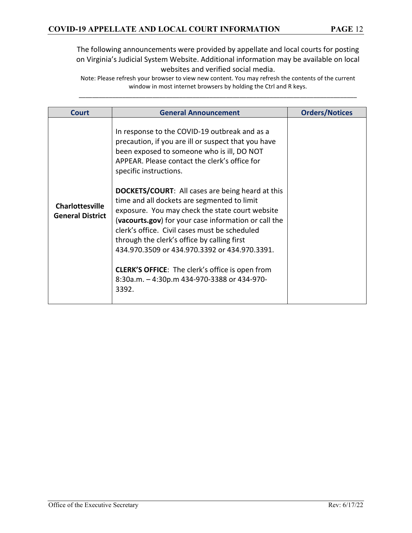| Court                                             | <b>General Announcement</b>                                                                                                                                                                                                                                                                                                                                                                                                                                                                                                                                                                                                                                                                                           | <b>Orders/Notices</b> |
|---------------------------------------------------|-----------------------------------------------------------------------------------------------------------------------------------------------------------------------------------------------------------------------------------------------------------------------------------------------------------------------------------------------------------------------------------------------------------------------------------------------------------------------------------------------------------------------------------------------------------------------------------------------------------------------------------------------------------------------------------------------------------------------|-----------------------|
| <b>Charlottesville</b><br><b>General District</b> | In response to the COVID-19 outbreak and as a<br>precaution, if you are ill or suspect that you have<br>been exposed to someone who is ill, DO NOT<br>APPEAR. Please contact the clerk's office for<br>specific instructions.<br><b>DOCKETS/COURT:</b> All cases are being heard at this<br>time and all dockets are segmented to limit<br>exposure. You may check the state court website<br>(vacourts.gov) for your case information or call the<br>clerk's office. Civil cases must be scheduled<br>through the clerk's office by calling first<br>434.970.3509 or 434.970.3392 or 434.970.3391.<br><b>CLERK'S OFFICE:</b> The clerk's office is open from<br>8:30a.m. - 4:30p.m 434-970-3388 or 434-970-<br>3392. |                       |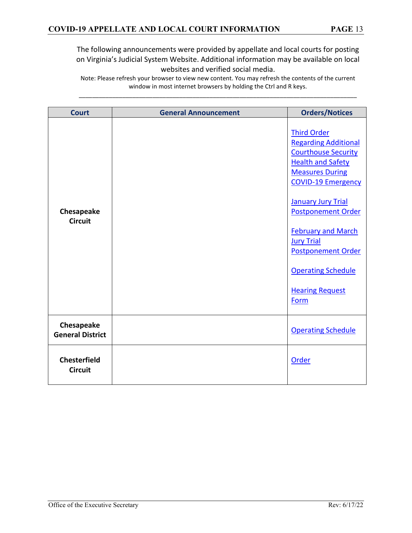| <b>Court</b>                          | <b>General Announcement</b> | <b>Orders/Notices</b>                                                                                                                                                                                                                                                                                                                                                      |
|---------------------------------------|-----------------------------|----------------------------------------------------------------------------------------------------------------------------------------------------------------------------------------------------------------------------------------------------------------------------------------------------------------------------------------------------------------------------|
| Chesapeake<br><b>Circuit</b>          |                             | <b>Third Order</b><br><b>Regarding Additional</b><br><b>Courthouse Security</b><br><b>Health and Safety</b><br><b>Measures During</b><br><b>COVID-19 Emergency</b><br><b>January Jury Trial</b><br><b>Postponement Order</b><br><b>February and March</b><br><b>Jury Trial</b><br><b>Postponement Order</b><br><b>Operating Schedule</b><br><b>Hearing Request</b><br>Form |
| Chesapeake<br><b>General District</b> |                             | <b>Operating Schedule</b>                                                                                                                                                                                                                                                                                                                                                  |
| <b>Chesterfield</b><br><b>Circuit</b> |                             | Order                                                                                                                                                                                                                                                                                                                                                                      |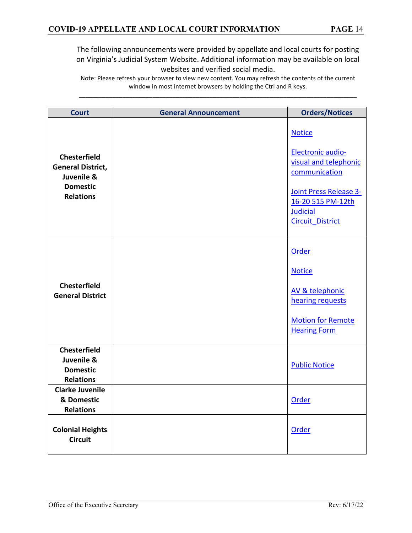| <b>Court</b>                                                                                         | <b>General Announcement</b> | <b>Orders/Notices</b>                                                                                                                                                            |
|------------------------------------------------------------------------------------------------------|-----------------------------|----------------------------------------------------------------------------------------------------------------------------------------------------------------------------------|
| <b>Chesterfield</b><br><b>General District,</b><br>Juvenile &<br><b>Domestic</b><br><b>Relations</b> |                             | <b>Notice</b><br><b>Electronic audio-</b><br>visual and telephonic<br>communication<br>Joint Press Release 3-<br>16-20 515 PM-12th<br><b>Judicial</b><br><b>Circuit District</b> |
| <b>Chesterfield</b><br><b>General District</b>                                                       |                             | Order<br><b>Notice</b><br>AV & telephonic<br>hearing requests<br><b>Motion for Remote</b><br><b>Hearing Form</b>                                                                 |
| <b>Chesterfield</b><br>Juvenile &<br><b>Domestic</b><br><b>Relations</b>                             |                             | <b>Public Notice</b>                                                                                                                                                             |
| <b>Clarke Juvenile</b><br>& Domestic<br><b>Relations</b>                                             |                             | Order                                                                                                                                                                            |
| <b>Colonial Heights</b><br><b>Circuit</b>                                                            |                             | Order                                                                                                                                                                            |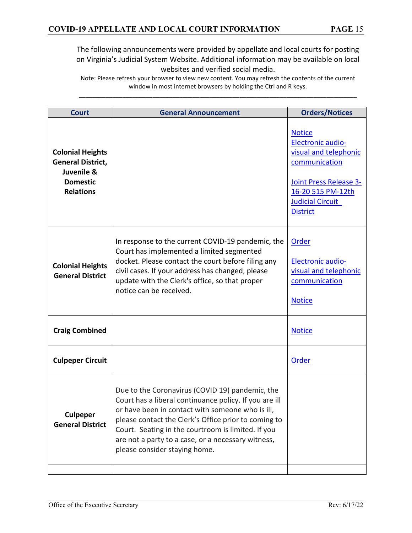| <b>Court</b>                                                                                             | <b>General Announcement</b>                                                                                                                                                                                                                                                                                                                                        | <b>Orders/Notices</b>                                                                                                                                                                   |
|----------------------------------------------------------------------------------------------------------|--------------------------------------------------------------------------------------------------------------------------------------------------------------------------------------------------------------------------------------------------------------------------------------------------------------------------------------------------------------------|-----------------------------------------------------------------------------------------------------------------------------------------------------------------------------------------|
| <b>Colonial Heights</b><br><b>General District,</b><br>Juvenile &<br><b>Domestic</b><br><b>Relations</b> |                                                                                                                                                                                                                                                                                                                                                                    | <b>Notice</b><br><b>Electronic audio-</b><br>visual and telephonic<br>communication<br><b>Joint Press Release 3-</b><br>16-20 515 PM-12th<br><b>Judicial Circuit</b><br><b>District</b> |
| <b>Colonial Heights</b><br><b>General District</b>                                                       | In response to the current COVID-19 pandemic, the<br>Court has implemented a limited segmented<br>docket. Please contact the court before filing any<br>civil cases. If your address has changed, please<br>update with the Clerk's office, so that proper<br>notice can be received.                                                                              | Order<br>Electronic audio-<br>visual and telephonic<br>communication<br><b>Notice</b>                                                                                                   |
| <b>Craig Combined</b>                                                                                    |                                                                                                                                                                                                                                                                                                                                                                    | <b>Notice</b>                                                                                                                                                                           |
| <b>Culpeper Circuit</b>                                                                                  |                                                                                                                                                                                                                                                                                                                                                                    | <b>Order</b>                                                                                                                                                                            |
| <b>Culpeper</b><br><b>General District</b>                                                               | Due to the Coronavirus (COVID 19) pandemic, the<br>Court has a liberal continuance policy. If you are ill<br>or have been in contact with someone who is ill,<br>please contact the Clerk's Office prior to coming to<br>Court. Seating in the courtroom is limited. If you<br>are not a party to a case, or a necessary witness,<br>please consider staying home. |                                                                                                                                                                                         |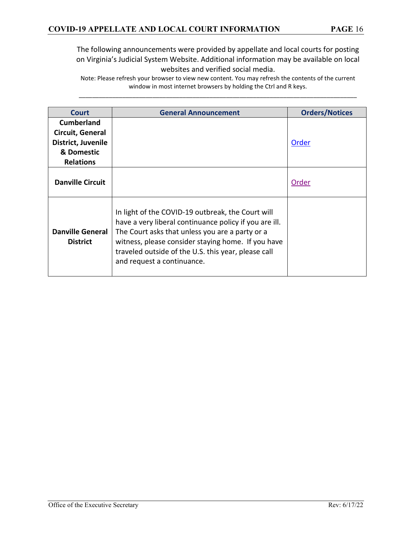| Court                                                                                         | <b>General Announcement</b>                                                                                                                                                                                                                                                                               | <b>Orders/Notices</b> |
|-----------------------------------------------------------------------------------------------|-----------------------------------------------------------------------------------------------------------------------------------------------------------------------------------------------------------------------------------------------------------------------------------------------------------|-----------------------|
| <b>Cumberland</b><br>Circuit, General<br>District, Juvenile<br>& Domestic<br><b>Relations</b> |                                                                                                                                                                                                                                                                                                           | Order                 |
| <b>Danville Circuit</b>                                                                       |                                                                                                                                                                                                                                                                                                           | Order                 |
| <b>Danville General</b><br><b>District</b>                                                    | In light of the COVID-19 outbreak, the Court will<br>have a very liberal continuance policy if you are ill.<br>The Court asks that unless you are a party or a<br>witness, please consider staying home. If you have<br>traveled outside of the U.S. this year, please call<br>and request a continuance. |                       |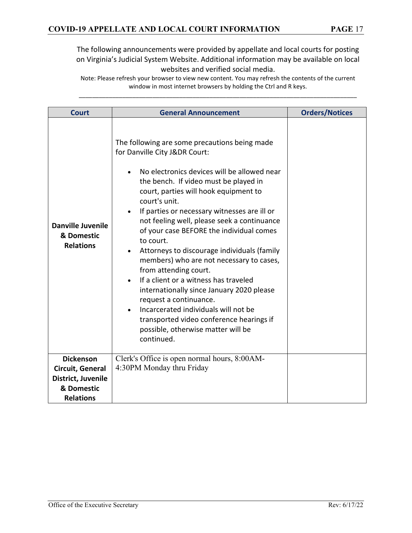| <b>Court</b>                                                                                 | <b>General Announcement</b>                                                                                                                                                                                                                                                                                                                                                                                                                                                                                                                                                                                                                                                                                                                                          | <b>Orders/Notices</b> |
|----------------------------------------------------------------------------------------------|----------------------------------------------------------------------------------------------------------------------------------------------------------------------------------------------------------------------------------------------------------------------------------------------------------------------------------------------------------------------------------------------------------------------------------------------------------------------------------------------------------------------------------------------------------------------------------------------------------------------------------------------------------------------------------------------------------------------------------------------------------------------|-----------------------|
| <b>Danville Juvenile</b><br>& Domestic<br><b>Relations</b>                                   | The following are some precautions being made<br>for Danville City J&DR Court:<br>No electronics devices will be allowed near<br>the bench. If video must be played in<br>court, parties will hook equipment to<br>court's unit.<br>If parties or necessary witnesses are ill or<br>not feeling well, please seek a continuance<br>of your case BEFORE the individual comes<br>to court.<br>Attorneys to discourage individuals (family<br>members) who are not necessary to cases,<br>from attending court.<br>If a client or a witness has traveled<br>internationally since January 2020 please<br>request a continuance.<br>Incarcerated individuals will not be<br>transported video conference hearings if<br>possible, otherwise matter will be<br>continued. |                       |
| <b>Dickenson</b><br>Circuit, General<br>District, Juvenile<br>& Domestic<br><b>Relations</b> | Clerk's Office is open normal hours, 8:00AM-<br>4:30PM Monday thru Friday                                                                                                                                                                                                                                                                                                                                                                                                                                                                                                                                                                                                                                                                                            |                       |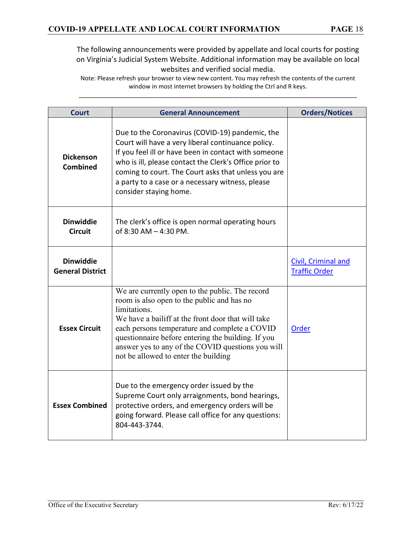| <b>Court</b>                                | <b>General Announcement</b>                                                                                                                                                                                                                                                                                                                                             | <b>Orders/Notices</b>                              |
|---------------------------------------------|-------------------------------------------------------------------------------------------------------------------------------------------------------------------------------------------------------------------------------------------------------------------------------------------------------------------------------------------------------------------------|----------------------------------------------------|
| <b>Dickenson</b><br><b>Combined</b>         | Due to the Coronavirus (COVID-19) pandemic, the<br>Court will have a very liberal continuance policy.<br>If you feel ill or have been in contact with someone<br>who is ill, please contact the Clerk's Office prior to<br>coming to court. The Court asks that unless you are<br>a party to a case or a necessary witness, please<br>consider staying home.            |                                                    |
| <b>Dinwiddie</b><br><b>Circuit</b>          | The clerk's office is open normal operating hours<br>of 8:30 AM - 4:30 PM.                                                                                                                                                                                                                                                                                              |                                                    |
| <b>Dinwiddie</b><br><b>General District</b> |                                                                                                                                                                                                                                                                                                                                                                         | <b>Civil, Criminal and</b><br><b>Traffic Order</b> |
| <b>Essex Circuit</b>                        | We are currently open to the public. The record<br>room is also open to the public and has no<br>limitations.<br>We have a bailiff at the front door that will take<br>each persons temperature and complete a COVID<br>questionnaire before entering the building. If you<br>answer yes to any of the COVID questions you will<br>not be allowed to enter the building | Order                                              |
| <b>Essex Combined</b>                       | Due to the emergency order issued by the<br>Supreme Court only arraignments, bond hearings,<br>protective orders, and emergency orders will be<br>going forward. Please call office for any questions:<br>804-443-3744.                                                                                                                                                 |                                                    |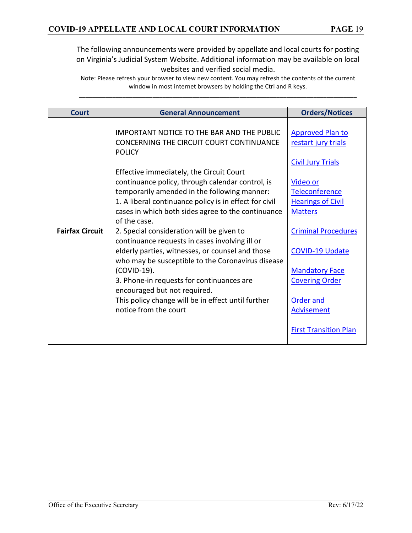| <b>Court</b>           | <b>General Announcement</b>                                                                                                                                                                                                                                                                                                                                                                                                                                                                                                                                                                                                                                                                                                                                                       | <b>Orders/Notices</b>                                                                                                                                                                                                                                                                                                                     |
|------------------------|-----------------------------------------------------------------------------------------------------------------------------------------------------------------------------------------------------------------------------------------------------------------------------------------------------------------------------------------------------------------------------------------------------------------------------------------------------------------------------------------------------------------------------------------------------------------------------------------------------------------------------------------------------------------------------------------------------------------------------------------------------------------------------------|-------------------------------------------------------------------------------------------------------------------------------------------------------------------------------------------------------------------------------------------------------------------------------------------------------------------------------------------|
| <b>Fairfax Circuit</b> | <b>IMPORTANT NOTICE TO THE BAR AND THE PUBLIC</b><br>CONCERNING THE CIRCUIT COURT CONTINUANCE<br><b>POLICY</b><br>Effective immediately, the Circuit Court<br>continuance policy, through calendar control, is<br>temporarily amended in the following manner:<br>1. A liberal continuance policy is in effect for civil<br>cases in which both sides agree to the continuance<br>of the case.<br>2. Special consideration will be given to<br>continuance requests in cases involving ill or<br>elderly parties, witnesses, or counsel and those<br>who may be susceptible to the Coronavirus disease<br>(COVID-19).<br>3. Phone-in requests for continuances are<br>encouraged but not required.<br>This policy change will be in effect until further<br>notice from the court | <b>Approved Plan to</b><br>restart jury trials<br><b>Civil Jury Trials</b><br><b>Video or</b><br>Teleconference<br><b>Hearings of Civil</b><br><b>Matters</b><br><b>Criminal Procedures</b><br><b>COVID-19 Update</b><br><b>Mandatory Face</b><br><b>Covering Order</b><br>Order and<br><b>Advisement</b><br><b>First Transition Plan</b> |
|                        |                                                                                                                                                                                                                                                                                                                                                                                                                                                                                                                                                                                                                                                                                                                                                                                   |                                                                                                                                                                                                                                                                                                                                           |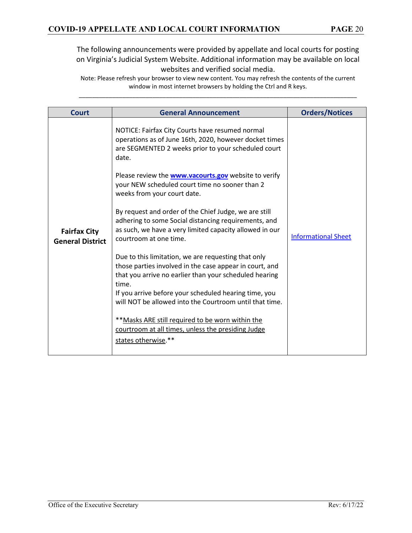| <b>Court</b>                                   | <b>General Announcement</b>                                                                                                                                                                                                                                                                           | <b>Orders/Notices</b>      |
|------------------------------------------------|-------------------------------------------------------------------------------------------------------------------------------------------------------------------------------------------------------------------------------------------------------------------------------------------------------|----------------------------|
|                                                | NOTICE: Fairfax City Courts have resumed normal<br>operations as of June 16th, 2020, however docket times<br>are SEGMENTED 2 weeks prior to your scheduled court<br>date.                                                                                                                             |                            |
|                                                | Please review the <b>www.vacourts.gov</b> website to verify<br>your NEW scheduled court time no sooner than 2<br>weeks from your court date.                                                                                                                                                          |                            |
| <b>Fairfax City</b><br><b>General District</b> | By request and order of the Chief Judge, we are still<br>adhering to some Social distancing requirements, and<br>as such, we have a very limited capacity allowed in our<br>courtroom at one time.                                                                                                    | <b>Informational Sheet</b> |
|                                                | Due to this limitation, we are requesting that only<br>those parties involved in the case appear in court, and<br>that you arrive no earlier than your scheduled hearing<br>time.<br>If you arrive before your scheduled hearing time, you<br>will NOT be allowed into the Courtroom until that time. |                            |
|                                                | ** Masks ARE still required to be worn within the<br>courtroom at all times, unless the presiding Judge<br>states otherwise.**                                                                                                                                                                        |                            |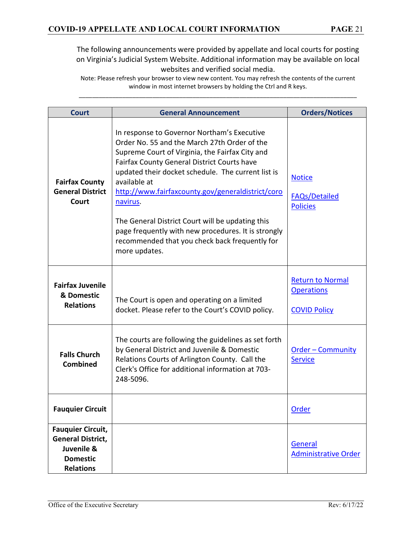| <b>Court</b>                                                                                              | <b>General Announcement</b>                                                                                                                                                                                                                                                                                                                                                                                                                                                                                        | <b>Orders/Notices</b>                                               |
|-----------------------------------------------------------------------------------------------------------|--------------------------------------------------------------------------------------------------------------------------------------------------------------------------------------------------------------------------------------------------------------------------------------------------------------------------------------------------------------------------------------------------------------------------------------------------------------------------------------------------------------------|---------------------------------------------------------------------|
| <b>Fairfax County</b><br><b>General District</b><br>Court                                                 | In response to Governor Northam's Executive<br>Order No. 55 and the March 27th Order of the<br>Supreme Court of Virginia, the Fairfax City and<br>Fairfax County General District Courts have<br>updated their docket schedule. The current list is<br>available at<br>http://www.fairfaxcounty.gov/generaldistrict/coro<br>navirus.<br>The General District Court will be updating this<br>page frequently with new procedures. It is strongly<br>recommended that you check back frequently for<br>more updates. | <b>Notice</b><br><b>FAQs/Detailed</b><br><b>Policies</b>            |
| <b>Fairfax Juvenile</b><br>& Domestic<br><b>Relations</b>                                                 | The Court is open and operating on a limited<br>docket. Please refer to the Court's COVID policy.                                                                                                                                                                                                                                                                                                                                                                                                                  | <b>Return to Normal</b><br><b>Operations</b><br><b>COVID Policy</b> |
| <b>Falls Church</b><br><b>Combined</b>                                                                    | The courts are following the guidelines as set forth<br>by General District and Juvenile & Domestic<br>Relations Courts of Arlington County. Call the<br>Clerk's Office for additional information at 703-<br>248-5096.                                                                                                                                                                                                                                                                                            | <b>Order - Community</b><br><b>Service</b>                          |
| <b>Fauquier Circuit</b>                                                                                   |                                                                                                                                                                                                                                                                                                                                                                                                                                                                                                                    | <u>Order</u>                                                        |
| <b>Fauquier Circuit,</b><br><b>General District,</b><br>Juvenile &<br><b>Domestic</b><br><b>Relations</b> |                                                                                                                                                                                                                                                                                                                                                                                                                                                                                                                    | General<br><b>Administrative Order</b>                              |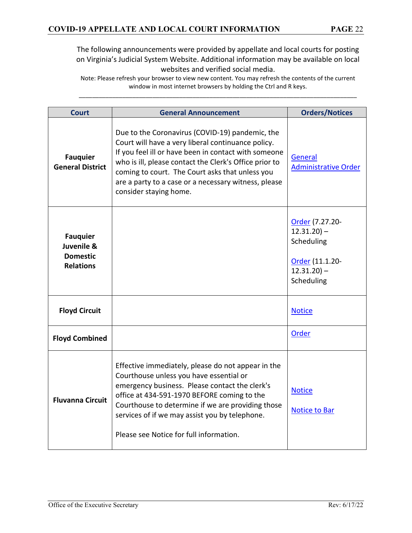| <b>Court</b>                                                         | <b>General Announcement</b>                                                                                                                                                                                                                                                                                                                                  | <b>Orders/Notices</b>                                                                              |
|----------------------------------------------------------------------|--------------------------------------------------------------------------------------------------------------------------------------------------------------------------------------------------------------------------------------------------------------------------------------------------------------------------------------------------------------|----------------------------------------------------------------------------------------------------|
| <b>Fauquier</b><br><b>General District</b>                           | Due to the Coronavirus (COVID-19) pandemic, the<br>Court will have a very liberal continuance policy.<br>If you feel ill or have been in contact with someone<br>who is ill, please contact the Clerk's Office prior to<br>coming to court. The Court asks that unless you<br>are a party to a case or a necessary witness, please<br>consider staying home. | General<br><b>Administrative Order</b>                                                             |
| <b>Fauquier</b><br>Juvenile &<br><b>Domestic</b><br><b>Relations</b> |                                                                                                                                                                                                                                                                                                                                                              | Order (7.27.20-<br>$12.31.20$ ) –<br>Scheduling<br>Order (11.1.20-<br>$12.31.20$ ) –<br>Scheduling |
| <b>Floyd Circuit</b>                                                 |                                                                                                                                                                                                                                                                                                                                                              | <b>Notice</b>                                                                                      |
| <b>Floyd Combined</b>                                                |                                                                                                                                                                                                                                                                                                                                                              | Order                                                                                              |
| <b>Fluvanna Circuit</b>                                              | Effective immediately, please do not appear in the<br>Courthouse unless you have essential or<br>emergency business. Please contact the clerk's<br>office at 434-591-1970 BEFORE coming to the<br>Courthouse to determine if we are providing those<br>services of if we may assist you by telephone.<br>Please see Notice for full information.             | <b>Notice</b><br><b>Notice to Bar</b>                                                              |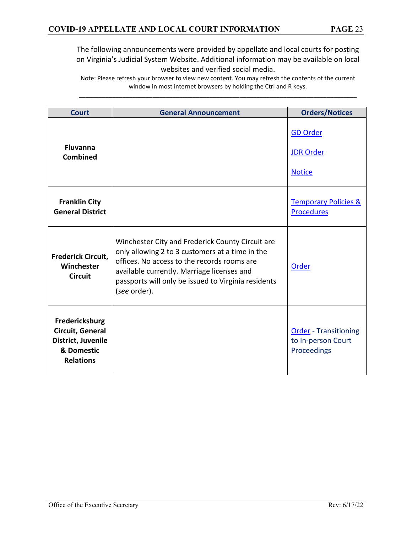| Court                                                                                      | <b>General Announcement</b>                                                                                                                                                                                                                                             | <b>Orders/Notices</b>                                             |
|--------------------------------------------------------------------------------------------|-------------------------------------------------------------------------------------------------------------------------------------------------------------------------------------------------------------------------------------------------------------------------|-------------------------------------------------------------------|
| <b>Fluvanna</b><br><b>Combined</b>                                                         |                                                                                                                                                                                                                                                                         | <b>GD Order</b><br><b>JDR Order</b><br><b>Notice</b>              |
| <b>Franklin City</b><br><b>General District</b>                                            |                                                                                                                                                                                                                                                                         | <b>Temporary Policies &amp;</b><br><b>Procedures</b>              |
| <b>Frederick Circuit,</b><br>Winchester<br><b>Circuit</b>                                  | Winchester City and Frederick County Circuit are<br>only allowing 2 to 3 customers at a time in the<br>offices. No access to the records rooms are<br>available currently. Marriage licenses and<br>passports will only be issued to Virginia residents<br>(see order). | Order                                                             |
| Fredericksburg<br>Circuit, General<br>District, Juvenile<br>& Domestic<br><b>Relations</b> |                                                                                                                                                                                                                                                                         | <b>Order</b> - Transitioning<br>to In-person Court<br>Proceedings |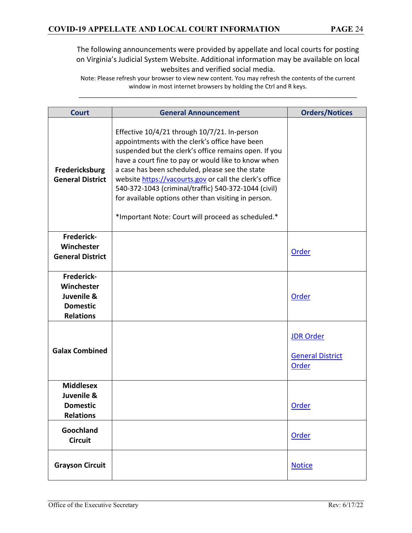| <b>Court</b>                                                                         | <b>General Announcement</b>                                                                                                                                                                                                                                                                                                                                                                                                                                                                        | <b>Orders/Notices</b>                                |
|--------------------------------------------------------------------------------------|----------------------------------------------------------------------------------------------------------------------------------------------------------------------------------------------------------------------------------------------------------------------------------------------------------------------------------------------------------------------------------------------------------------------------------------------------------------------------------------------------|------------------------------------------------------|
| Fredericksburg<br><b>General District</b>                                            | Effective 10/4/21 through 10/7/21. In-person<br>appointments with the clerk's office have been<br>suspended but the clerk's office remains open. If you<br>have a court fine to pay or would like to know when<br>a case has been scheduled, please see the state<br>website https://vacourts.gov or call the clerk's office<br>540-372-1043 (criminal/traffic) 540-372-1044 (civil)<br>for available options other than visiting in person.<br>*Important Note: Court will proceed as scheduled.* |                                                      |
| Frederick-<br>Winchester<br><b>General District</b>                                  |                                                                                                                                                                                                                                                                                                                                                                                                                                                                                                    | <b>Order</b>                                         |
| <b>Frederick-</b><br>Winchester<br>Juvenile &<br><b>Domestic</b><br><b>Relations</b> |                                                                                                                                                                                                                                                                                                                                                                                                                                                                                                    | <b>Order</b>                                         |
| <b>Galax Combined</b>                                                                |                                                                                                                                                                                                                                                                                                                                                                                                                                                                                                    | <b>JDR Order</b><br><b>General District</b><br>Order |
| <b>Middlesex</b><br>Juvenile &<br><b>Domestic</b><br><b>Relations</b>                |                                                                                                                                                                                                                                                                                                                                                                                                                                                                                                    | <b>Order</b>                                         |
| Goochland<br><b>Circuit</b>                                                          |                                                                                                                                                                                                                                                                                                                                                                                                                                                                                                    | <b>Order</b>                                         |
| <b>Grayson Circuit</b>                                                               |                                                                                                                                                                                                                                                                                                                                                                                                                                                                                                    | <b>Notice</b>                                        |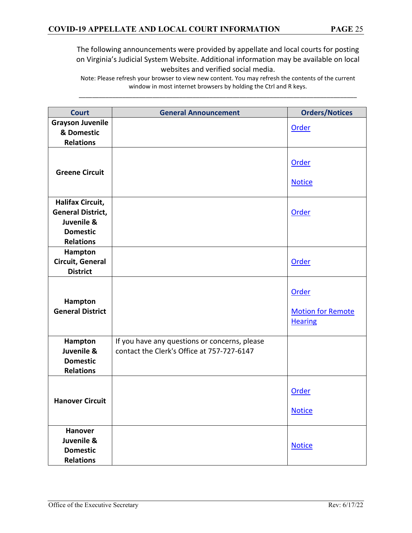| <b>Court</b>                                                                                             | <b>General Announcement</b>                                                                 | <b>Orders/Notices</b>                               |
|----------------------------------------------------------------------------------------------------------|---------------------------------------------------------------------------------------------|-----------------------------------------------------|
| <b>Grayson Juvenile</b><br>& Domestic<br><b>Relations</b>                                                |                                                                                             | Order                                               |
| <b>Greene Circuit</b>                                                                                    |                                                                                             | Order<br><b>Notice</b>                              |
| <b>Halifax Circuit,</b><br><b>General District,</b><br>Juvenile &<br><b>Domestic</b><br><b>Relations</b> |                                                                                             | Order                                               |
| Hampton<br>Circuit, General<br><b>District</b>                                                           |                                                                                             | Order                                               |
| Hampton<br><b>General District</b>                                                                       |                                                                                             | Order<br><b>Motion for Remote</b><br><b>Hearing</b> |
| Hampton<br>Juvenile &<br><b>Domestic</b><br><b>Relations</b>                                             | If you have any questions or concerns, please<br>contact the Clerk's Office at 757-727-6147 |                                                     |
| <b>Hanover Circuit</b>                                                                                   |                                                                                             | Order<br><b>Notice</b>                              |
| <b>Hanover</b><br>Juvenile &<br><b>Domestic</b><br><b>Relations</b>                                      |                                                                                             | <b>Notice</b>                                       |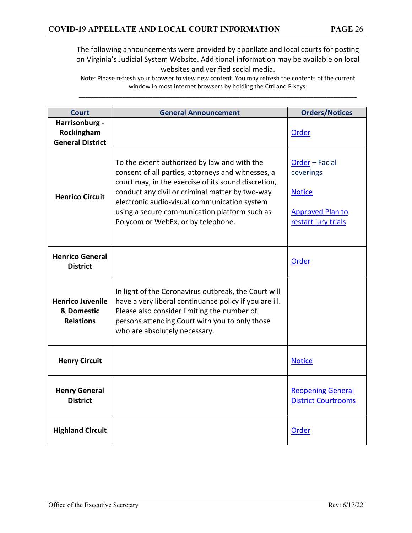| <b>Court</b>                                              | <b>General Announcement</b>                                                                                                                                                                                                                                                                                                                         | <b>Orders/Notices</b>                                                                          |
|-----------------------------------------------------------|-----------------------------------------------------------------------------------------------------------------------------------------------------------------------------------------------------------------------------------------------------------------------------------------------------------------------------------------------------|------------------------------------------------------------------------------------------------|
| Harrisonburg -<br>Rockingham<br><b>General District</b>   |                                                                                                                                                                                                                                                                                                                                                     | <b>Order</b>                                                                                   |
| <b>Henrico Circuit</b>                                    | To the extent authorized by law and with the<br>consent of all parties, attorneys and witnesses, a<br>court may, in the exercise of its sound discretion,<br>conduct any civil or criminal matter by two-way<br>electronic audio-visual communication system<br>using a secure communication platform such as<br>Polycom or WebEx, or by telephone. | Order - Facial<br>coverings<br><b>Notice</b><br><b>Approved Plan to</b><br>restart jury trials |
| <b>Henrico General</b><br><b>District</b>                 |                                                                                                                                                                                                                                                                                                                                                     | <b>Order</b>                                                                                   |
| <b>Henrico Juvenile</b><br>& Domestic<br><b>Relations</b> | In light of the Coronavirus outbreak, the Court will<br>have a very liberal continuance policy if you are ill.<br>Please also consider limiting the number of<br>persons attending Court with you to only those<br>who are absolutely necessary.                                                                                                    |                                                                                                |
| <b>Henry Circuit</b>                                      |                                                                                                                                                                                                                                                                                                                                                     | <b>Notice</b>                                                                                  |
| <b>Henry General</b><br><b>District</b>                   |                                                                                                                                                                                                                                                                                                                                                     | <b>Reopening General</b><br><b>District Courtrooms</b>                                         |
| <b>Highland Circuit</b>                                   |                                                                                                                                                                                                                                                                                                                                                     | Order                                                                                          |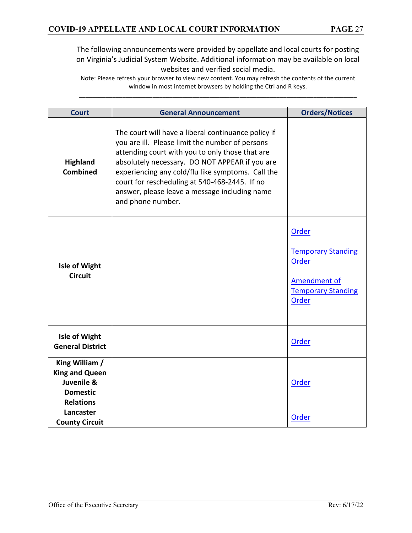| <b>Court</b>                                                                                 | <b>General Announcement</b>                                                                                                                                                                                                                                                                                                                                                             | <b>Orders/Notices</b>                                                                                    |
|----------------------------------------------------------------------------------------------|-----------------------------------------------------------------------------------------------------------------------------------------------------------------------------------------------------------------------------------------------------------------------------------------------------------------------------------------------------------------------------------------|----------------------------------------------------------------------------------------------------------|
| <b>Highland</b><br><b>Combined</b>                                                           | The court will have a liberal continuance policy if<br>you are ill. Please limit the number of persons<br>attending court with you to only those that are<br>absolutely necessary. DO NOT APPEAR if you are<br>experiencing any cold/flu like symptoms. Call the<br>court for rescheduling at 540-468-2445. If no<br>answer, please leave a message including name<br>and phone number. |                                                                                                          |
| <b>Isle of Wight</b><br><b>Circuit</b>                                                       |                                                                                                                                                                                                                                                                                                                                                                                         | Order<br><b>Temporary Standing</b><br>Order<br><b>Amendment of</b><br><b>Temporary Standing</b><br>Order |
| <b>Isle of Wight</b><br><b>General District</b>                                              |                                                                                                                                                                                                                                                                                                                                                                                         | <b>Order</b>                                                                                             |
| King William /<br><b>King and Queen</b><br>Juvenile &<br><b>Domestic</b><br><b>Relations</b> |                                                                                                                                                                                                                                                                                                                                                                                         | Order                                                                                                    |
| Lancaster<br><b>County Circuit</b>                                                           |                                                                                                                                                                                                                                                                                                                                                                                         | Order                                                                                                    |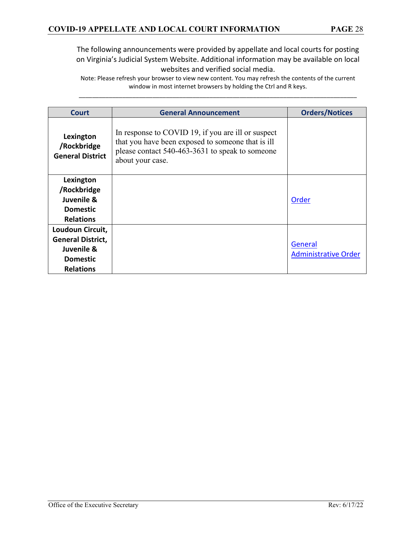| Court                                                                                             | <b>General Announcement</b>                                                                                                                                                    | <b>Orders/Notices</b>                  |
|---------------------------------------------------------------------------------------------------|--------------------------------------------------------------------------------------------------------------------------------------------------------------------------------|----------------------------------------|
| Lexington<br>/Rockbridge<br><b>General District</b>                                               | In response to COVID 19, if you are ill or suspect<br>that you have been exposed to someone that is ill<br>please contact 540-463-3631 to speak to someone<br>about your case. |                                        |
| Lexington<br>/Rockbridge<br>Juvenile &<br><b>Domestic</b><br><b>Relations</b>                     |                                                                                                                                                                                | Order                                  |
| Loudoun Circuit,<br><b>General District,</b><br>Juvenile &<br><b>Domestic</b><br><b>Relations</b> |                                                                                                                                                                                | General<br><b>Administrative Order</b> |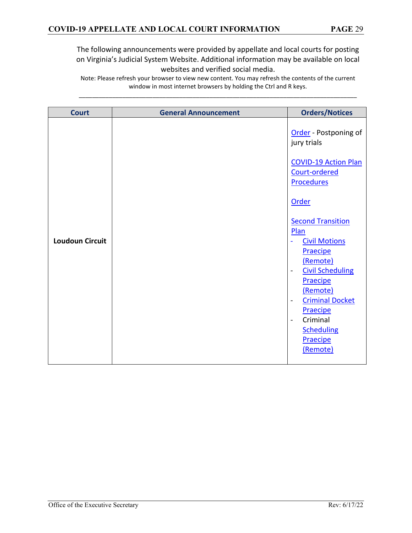| <b>Court</b>           | <b>General Announcement</b> | <b>Orders/Notices</b>                                                                                                                                                                                                                                                              |
|------------------------|-----------------------------|------------------------------------------------------------------------------------------------------------------------------------------------------------------------------------------------------------------------------------------------------------------------------------|
|                        |                             | Order - Postponing of<br>jury trials<br><b>COVID-19 Action Plan</b><br>Court-ordered<br><b>Procedures</b><br>Order<br><b>Second Transition</b><br>Plan                                                                                                                             |
| <b>Loudoun Circuit</b> |                             | <b>Civil Motions</b><br>Praecipe<br>(Remote)<br><b>Civil Scheduling</b><br>$\overline{\phantom{a}}$<br>Praecipe<br>(Remote)<br><b>Criminal Docket</b><br>$\overline{\phantom{a}}$<br>Praecipe<br>Criminal<br>$\overline{\phantom{a}}$<br><b>Scheduling</b><br>Praecipe<br>(Remote) |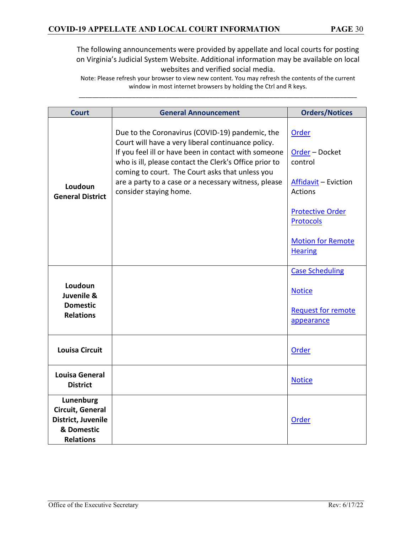| <b>Court</b>                                                                          | <b>General Announcement</b>                                                                                                                                                                                                                                                                                                                                  | <b>Orders/Notices</b>                                                                                                                                                     |
|---------------------------------------------------------------------------------------|--------------------------------------------------------------------------------------------------------------------------------------------------------------------------------------------------------------------------------------------------------------------------------------------------------------------------------------------------------------|---------------------------------------------------------------------------------------------------------------------------------------------------------------------------|
| Loudoun<br><b>General District</b>                                                    | Due to the Coronavirus (COVID-19) pandemic, the<br>Court will have a very liberal continuance policy.<br>If you feel ill or have been in contact with someone<br>who is ill, please contact the Clerk's Office prior to<br>coming to court. The Court asks that unless you<br>are a party to a case or a necessary witness, please<br>consider staying home. | Order<br>Order - Docket<br>control<br>Affidavit - Eviction<br><b>Actions</b><br><b>Protective Order</b><br><b>Protocols</b><br><b>Motion for Remote</b><br><b>Hearing</b> |
| Loudoun<br>Juvenile &<br><b>Domestic</b><br><b>Relations</b>                          |                                                                                                                                                                                                                                                                                                                                                              | <b>Case Scheduling</b><br><b>Notice</b><br><b>Request for remote</b><br>appearance                                                                                        |
| <b>Louisa Circuit</b>                                                                 |                                                                                                                                                                                                                                                                                                                                                              | Order                                                                                                                                                                     |
| <b>Louisa General</b><br><b>District</b>                                              |                                                                                                                                                                                                                                                                                                                                                              | <b>Notice</b>                                                                                                                                                             |
| Lunenburg<br>Circuit, General<br>District, Juvenile<br>& Domestic<br><b>Relations</b> |                                                                                                                                                                                                                                                                                                                                                              | Order                                                                                                                                                                     |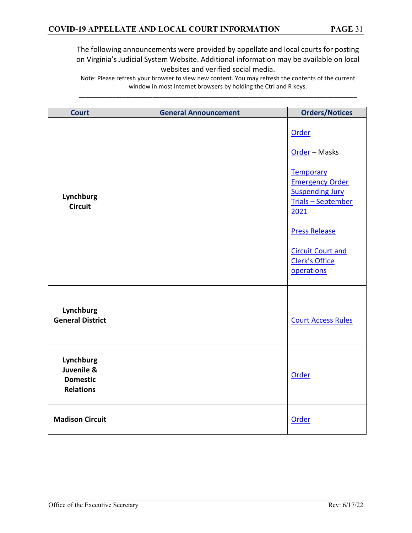| <b>Court</b>                                                   | <b>General Announcement</b> | <b>Orders/Notices</b>                                                                                                                                                                                            |
|----------------------------------------------------------------|-----------------------------|------------------------------------------------------------------------------------------------------------------------------------------------------------------------------------------------------------------|
| Lynchburg<br><b>Circuit</b>                                    |                             | Order<br>Order - Masks<br>Temporary<br><b>Emergency Order</b><br><b>Suspending Jury</b><br><b>Trials - September</b><br>2021<br><b>Press Release</b><br><b>Circuit Court and</b><br>Clerk's Office<br>operations |
| Lynchburg<br><b>General District</b>                           |                             | <b>Court Access Rules</b>                                                                                                                                                                                        |
| Lynchburg<br>Juvenile &<br><b>Domestic</b><br><b>Relations</b> |                             | Order                                                                                                                                                                                                            |
| <b>Madison Circuit</b>                                         |                             | Order                                                                                                                                                                                                            |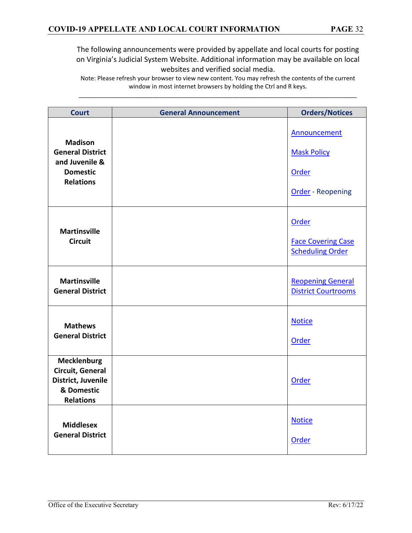| <b>Court</b>                                                                                       | <b>General Announcement</b> | <b>Orders/Notices</b>                                                   |
|----------------------------------------------------------------------------------------------------|-----------------------------|-------------------------------------------------------------------------|
| <b>Madison</b><br><b>General District</b><br>and Juvenile &<br><b>Domestic</b><br><b>Relations</b> |                             | Announcement<br><b>Mask Policy</b><br>Order<br><b>Order</b> - Reopening |
| <b>Martinsville</b><br><b>Circuit</b>                                                              |                             | Order<br><b>Face Covering Case</b><br><b>Scheduling Order</b>           |
| <b>Martinsville</b><br><b>General District</b>                                                     |                             | <b>Reopening General</b><br><b>District Courtrooms</b>                  |
| <b>Mathews</b><br><b>General District</b>                                                          |                             | <b>Notice</b><br>Order                                                  |
| <b>Mecklenburg</b><br>Circuit, General<br>District, Juvenile<br>& Domestic<br><b>Relations</b>     |                             | Order                                                                   |
| <b>Middlesex</b><br><b>General District</b>                                                        |                             | <b>Notice</b><br>Order                                                  |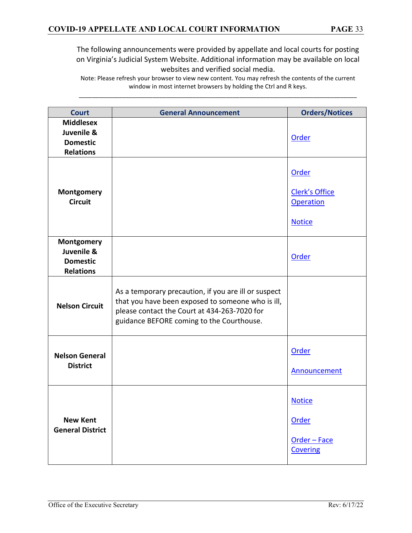| <b>Court</b>                                                          | <b>General Announcement</b>                                                                                                                                                                            | <b>Orders/Notices</b>                                               |
|-----------------------------------------------------------------------|--------------------------------------------------------------------------------------------------------------------------------------------------------------------------------------------------------|---------------------------------------------------------------------|
| <b>Middlesex</b><br>Juvenile &<br><b>Domestic</b><br><b>Relations</b> |                                                                                                                                                                                                        | Order                                                               |
| Montgomery<br><b>Circuit</b>                                          |                                                                                                                                                                                                        | Order<br><b>Clerk's Office</b><br><b>Operation</b><br><b>Notice</b> |
| Montgomery<br>Juvenile &<br><b>Domestic</b><br><b>Relations</b>       |                                                                                                                                                                                                        | Order                                                               |
| <b>Nelson Circuit</b>                                                 | As a temporary precaution, if you are ill or suspect<br>that you have been exposed to someone who is ill,<br>please contact the Court at 434-263-7020 for<br>guidance BEFORE coming to the Courthouse. |                                                                     |
| <b>Nelson General</b><br><b>District</b>                              |                                                                                                                                                                                                        | Order<br>Announcement                                               |
| <b>New Kent</b><br><b>General District</b>                            |                                                                                                                                                                                                        | <b>Notice</b><br>Order<br>Order - Face<br><b>Covering</b>           |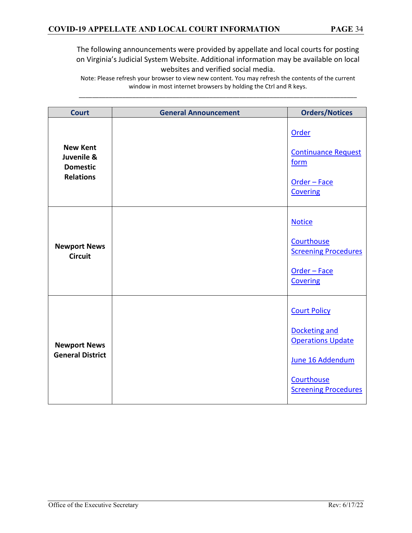| <b>Court</b>                                                         | <b>General Announcement</b> | <b>Orders/Notices</b>                                                                                                             |
|----------------------------------------------------------------------|-----------------------------|-----------------------------------------------------------------------------------------------------------------------------------|
| <b>New Kent</b><br>Juvenile &<br><b>Domestic</b><br><b>Relations</b> |                             | Order<br><b>Continuance Request</b><br>form<br>Order - Face<br>Covering                                                           |
| <b>Newport News</b><br><b>Circuit</b>                                |                             | <b>Notice</b><br>Courthouse<br><b>Screening Procedures</b><br>Order - Face<br><b>Covering</b>                                     |
| <b>Newport News</b><br><b>General District</b>                       |                             | <b>Court Policy</b><br>Docketing and<br><b>Operations Update</b><br>June 16 Addendum<br>Courthouse<br><b>Screening Procedures</b> |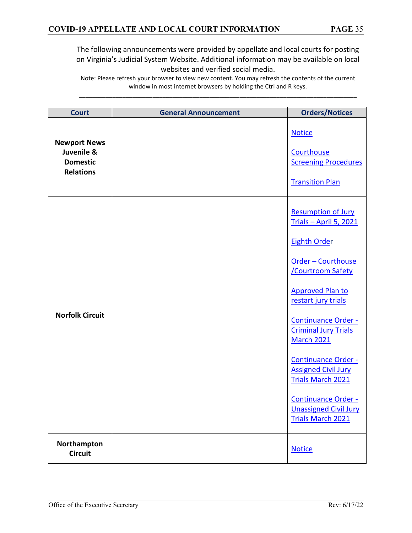| <b>Court</b>                                                             | <b>General Announcement</b> | <b>Orders/Notices</b>                                                                                                                                                                                                                                                                                                                                                                                                                      |
|--------------------------------------------------------------------------|-----------------------------|--------------------------------------------------------------------------------------------------------------------------------------------------------------------------------------------------------------------------------------------------------------------------------------------------------------------------------------------------------------------------------------------------------------------------------------------|
| <b>Newport News</b><br>Juvenile &<br><b>Domestic</b><br><b>Relations</b> |                             | <b>Notice</b><br>Courthouse<br><b>Screening Procedures</b><br><b>Transition Plan</b>                                                                                                                                                                                                                                                                                                                                                       |
| <b>Norfolk Circuit</b>                                                   |                             | <b>Resumption of Jury</b><br>Trials - April 5, 2021<br><b>Eighth Order</b><br>Order - Courthouse<br><b>Courtroom Safety</b><br><b>Approved Plan to</b><br>restart jury trials<br>Continuance Order -<br><b>Criminal Jury Trials</b><br><b>March 2021</b><br><b>Continuance Order -</b><br><b>Assigned Civil Jury</b><br><b>Trials March 2021</b><br><b>Continuance Order -</b><br><b>Unassigned Civil Jury</b><br><b>Trials March 2021</b> |
| Northampton<br><b>Circuit</b>                                            |                             | <b>Notice</b>                                                                                                                                                                                                                                                                                                                                                                                                                              |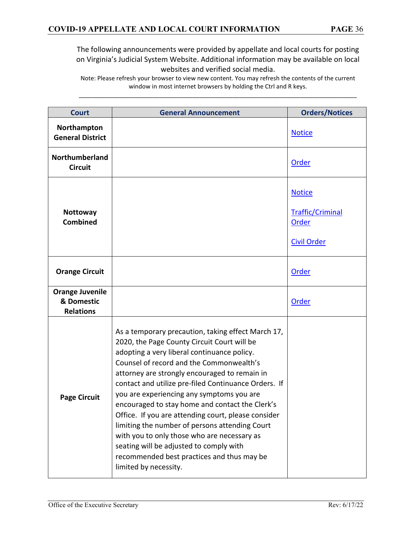| <b>Court</b>                                             | <b>General Announcement</b>                                                                                                                                                                                                                                                                                                                                                                                                                                                                                                                                                                                                                                                     | <b>Orders/Notices</b>                                                   |
|----------------------------------------------------------|---------------------------------------------------------------------------------------------------------------------------------------------------------------------------------------------------------------------------------------------------------------------------------------------------------------------------------------------------------------------------------------------------------------------------------------------------------------------------------------------------------------------------------------------------------------------------------------------------------------------------------------------------------------------------------|-------------------------------------------------------------------------|
| Northampton<br><b>General District</b>                   |                                                                                                                                                                                                                                                                                                                                                                                                                                                                                                                                                                                                                                                                                 | <b>Notice</b>                                                           |
| Northumberland<br><b>Circuit</b>                         |                                                                                                                                                                                                                                                                                                                                                                                                                                                                                                                                                                                                                                                                                 | Order                                                                   |
| Nottoway<br><b>Combined</b>                              |                                                                                                                                                                                                                                                                                                                                                                                                                                                                                                                                                                                                                                                                                 | <b>Notice</b><br><b>Traffic/Criminal</b><br>Order<br><b>Civil Order</b> |
| <b>Orange Circuit</b>                                    |                                                                                                                                                                                                                                                                                                                                                                                                                                                                                                                                                                                                                                                                                 | Order                                                                   |
| <b>Orange Juvenile</b><br>& Domestic<br><b>Relations</b> |                                                                                                                                                                                                                                                                                                                                                                                                                                                                                                                                                                                                                                                                                 | Order                                                                   |
| <b>Page Circuit</b>                                      | As a temporary precaution, taking effect March 17,<br>2020, the Page County Circuit Court will be<br>adopting a very liberal continuance policy.<br>Counsel of record and the Commonwealth's<br>attorney are strongly encouraged to remain in<br>contact and utilize pre-filed Continuance Orders. If<br>you are experiencing any symptoms you are<br>encouraged to stay home and contact the Clerk's<br>Office. If you are attending court, please consider<br>limiting the number of persons attending Court<br>with you to only those who are necessary as<br>seating will be adjusted to comply with<br>recommended best practices and thus may be<br>limited by necessity. |                                                                         |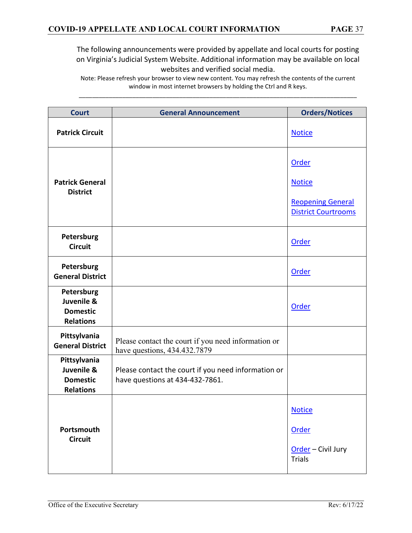| <b>Court</b>                                                      | <b>General Announcement</b>                                                            | <b>Orders/Notices</b>                                                   |
|-------------------------------------------------------------------|----------------------------------------------------------------------------------------|-------------------------------------------------------------------------|
| <b>Patrick Circuit</b>                                            |                                                                                        | <b>Notice</b>                                                           |
|                                                                   |                                                                                        | Order                                                                   |
| <b>Patrick General</b><br><b>District</b>                         |                                                                                        | <b>Notice</b><br><b>Reopening General</b><br><b>District Courtrooms</b> |
| Petersburg<br><b>Circuit</b>                                      |                                                                                        | Order                                                                   |
| Petersburg<br><b>General District</b>                             |                                                                                        | Order                                                                   |
| Petersburg<br>Juvenile &<br><b>Domestic</b><br><b>Relations</b>   |                                                                                        | Order                                                                   |
| Pittsylvania<br><b>General District</b>                           | Please contact the court if you need information or<br>have questions, 434.432.7879    |                                                                         |
| Pittsylvania<br>Juvenile &<br><b>Domestic</b><br><b>Relations</b> | Please contact the court if you need information or<br>have questions at 434-432-7861. |                                                                         |
|                                                                   |                                                                                        | <b>Notice</b>                                                           |
| Portsmouth<br><b>Circuit</b>                                      |                                                                                        | Order                                                                   |
|                                                                   |                                                                                        | Order - Civil Jury<br><b>Trials</b>                                     |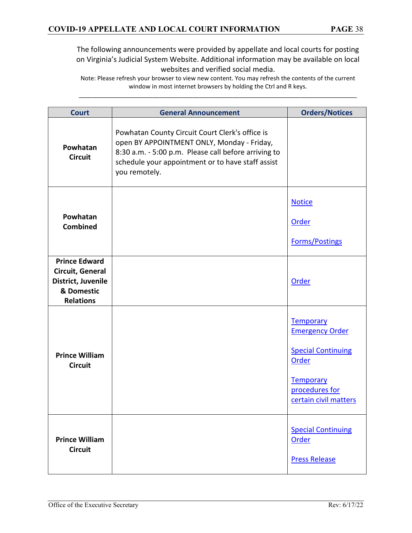| <b>Court</b>                                                                                     | <b>General Announcement</b>                                                                                                                                                                                                 | <b>Orders/Notices</b>                                                                                                             |
|--------------------------------------------------------------------------------------------------|-----------------------------------------------------------------------------------------------------------------------------------------------------------------------------------------------------------------------------|-----------------------------------------------------------------------------------------------------------------------------------|
| Powhatan<br><b>Circuit</b>                                                                       | Powhatan County Circuit Court Clerk's office is<br>open BY APPOINTMENT ONLY, Monday - Friday,<br>8:30 a.m. - 5:00 p.m. Please call before arriving to<br>schedule your appointment or to have staff assist<br>you remotely. |                                                                                                                                   |
| Powhatan<br><b>Combined</b>                                                                      |                                                                                                                                                                                                                             | <b>Notice</b><br><b>Order</b><br><b>Forms/Postings</b>                                                                            |
| <b>Prince Edward</b><br>Circuit, General<br>District, Juvenile<br>& Domestic<br><b>Relations</b> |                                                                                                                                                                                                                             | Order                                                                                                                             |
| <b>Prince William</b><br><b>Circuit</b>                                                          |                                                                                                                                                                                                                             | Temporary<br><b>Emergency Order</b><br><b>Special Continuing</b><br>Order<br>Temporary<br>procedures for<br>certain civil matters |
| <b>Prince William</b><br><b>Circuit</b>                                                          |                                                                                                                                                                                                                             | <b>Special Continuing</b><br>Order<br><b>Press Release</b>                                                                        |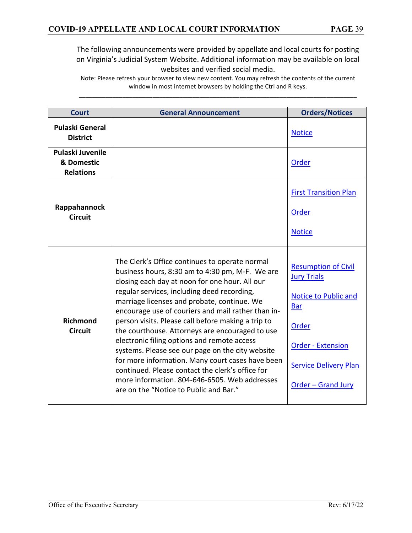| Court                                              | <b>General Announcement</b>                                                                                                                                                                                                                                                                                                                                                                                                                                                                                                                                                                                                                                                                                            | <b>Orders/Notices</b>                                                                                                                                                                           |
|----------------------------------------------------|------------------------------------------------------------------------------------------------------------------------------------------------------------------------------------------------------------------------------------------------------------------------------------------------------------------------------------------------------------------------------------------------------------------------------------------------------------------------------------------------------------------------------------------------------------------------------------------------------------------------------------------------------------------------------------------------------------------------|-------------------------------------------------------------------------------------------------------------------------------------------------------------------------------------------------|
| <b>Pulaski General</b><br><b>District</b>          |                                                                                                                                                                                                                                                                                                                                                                                                                                                                                                                                                                                                                                                                                                                        | <b>Notice</b>                                                                                                                                                                                   |
| Pulaski Juvenile<br>& Domestic<br><b>Relations</b> |                                                                                                                                                                                                                                                                                                                                                                                                                                                                                                                                                                                                                                                                                                                        | <b>Order</b>                                                                                                                                                                                    |
| Rappahannock<br><b>Circuit</b>                     |                                                                                                                                                                                                                                                                                                                                                                                                                                                                                                                                                                                                                                                                                                                        | <b>First Transition Plan</b><br><b>Order</b><br><b>Notice</b>                                                                                                                                   |
| <b>Richmond</b><br><b>Circuit</b>                  | The Clerk's Office continues to operate normal<br>business hours, 8:30 am to 4:30 pm, M-F. We are<br>closing each day at noon for one hour. All our<br>regular services, including deed recording,<br>marriage licenses and probate, continue. We<br>encourage use of couriers and mail rather than in-<br>person visits. Please call before making a trip to<br>the courthouse. Attorneys are encouraged to use<br>electronic filing options and remote access<br>systems. Please see our page on the city website<br>for more information. Many court cases have been<br>continued. Please contact the clerk's office for<br>more information. 804-646-6505. Web addresses<br>are on the "Notice to Public and Bar." | <b>Resumption of Civil</b><br><b>Jury Trials</b><br><b>Notice to Public and</b><br><b>Bar</b><br>Order<br><b>Order - Extension</b><br><b>Service Delivery Plan</b><br><b>Order - Grand Jury</b> |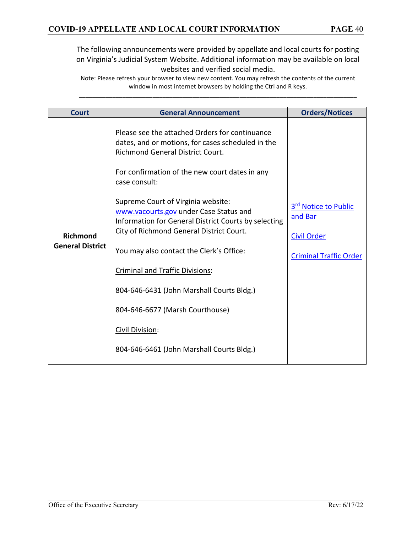| <b>Court</b>                        | <b>General Announcement</b>                                                                                                                                                                                                                                                                                                                                                                           | <b>Orders/Notices</b>                                 |
|-------------------------------------|-------------------------------------------------------------------------------------------------------------------------------------------------------------------------------------------------------------------------------------------------------------------------------------------------------------------------------------------------------------------------------------------------------|-------------------------------------------------------|
| Richmond<br><b>General District</b> | Please see the attached Orders for continuance<br>dates, and or motions, for cases scheduled in the<br><b>Richmond General District Court.</b><br>For confirmation of the new court dates in any<br>case consult:<br>Supreme Court of Virginia website:<br>www.vacourts.gov under Case Status and<br>Information for General District Courts by selecting<br>City of Richmond General District Court. | 3rd Notice to Public<br>and Bar<br><b>Civil Order</b> |
|                                     | You may also contact the Clerk's Office:                                                                                                                                                                                                                                                                                                                                                              | <b>Criminal Traffic Order</b>                         |
|                                     | <b>Criminal and Traffic Divisions:</b>                                                                                                                                                                                                                                                                                                                                                                |                                                       |
|                                     | 804-646-6431 (John Marshall Courts Bldg.)                                                                                                                                                                                                                                                                                                                                                             |                                                       |
|                                     | 804-646-6677 (Marsh Courthouse)                                                                                                                                                                                                                                                                                                                                                                       |                                                       |
|                                     | Civil Division:                                                                                                                                                                                                                                                                                                                                                                                       |                                                       |
|                                     | 804-646-6461 (John Marshall Courts Bldg.)                                                                                                                                                                                                                                                                                                                                                             |                                                       |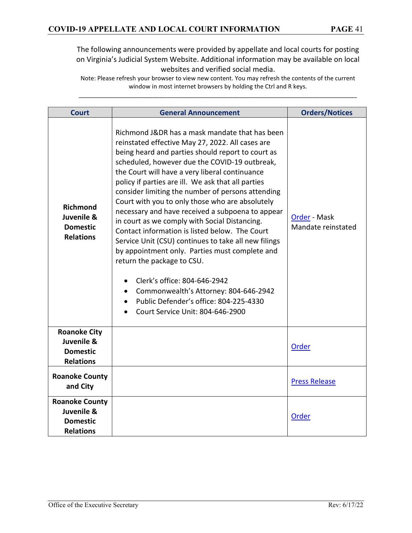| <b>Court</b>                                                               | <b>General Announcement</b>                                                                                                                                                                                                                                                                                                                                                                                                                                                                                                                                                                                                                                                                                                                                                                                                                                                    | <b>Orders/Notices</b>              |
|----------------------------------------------------------------------------|--------------------------------------------------------------------------------------------------------------------------------------------------------------------------------------------------------------------------------------------------------------------------------------------------------------------------------------------------------------------------------------------------------------------------------------------------------------------------------------------------------------------------------------------------------------------------------------------------------------------------------------------------------------------------------------------------------------------------------------------------------------------------------------------------------------------------------------------------------------------------------|------------------------------------|
| <b>Richmond</b><br>Juvenile &<br><b>Domestic</b><br><b>Relations</b>       | Richmond J&DR has a mask mandate that has been<br>reinstated effective May 27, 2022. All cases are<br>being heard and parties should report to court as<br>scheduled, however due the COVID-19 outbreak,<br>the Court will have a very liberal continuance<br>policy if parties are ill. We ask that all parties<br>consider limiting the number of persons attending<br>Court with you to only those who are absolutely<br>necessary and have received a subpoena to appear<br>in court as we comply with Social Distancing.<br>Contact information is listed below. The Court<br>Service Unit (CSU) continues to take all new filings<br>by appointment only. Parties must complete and<br>return the package to CSU.<br>Clerk's office: 804-646-2942<br>Commonwealth's Attorney: 804-646-2942<br>Public Defender's office: 804-225-4330<br>Court Service Unit: 804-646-2900 | Order - Mask<br>Mandate reinstated |
| <b>Roanoke City</b><br>Juvenile &<br><b>Domestic</b><br><b>Relations</b>   |                                                                                                                                                                                                                                                                                                                                                                                                                                                                                                                                                                                                                                                                                                                                                                                                                                                                                | Order                              |
| <b>Roanoke County</b><br>and City                                          |                                                                                                                                                                                                                                                                                                                                                                                                                                                                                                                                                                                                                                                                                                                                                                                                                                                                                | <b>Press Release</b>               |
| <b>Roanoke County</b><br>Juvenile &<br><b>Domestic</b><br><b>Relations</b> |                                                                                                                                                                                                                                                                                                                                                                                                                                                                                                                                                                                                                                                                                                                                                                                                                                                                                | Order                              |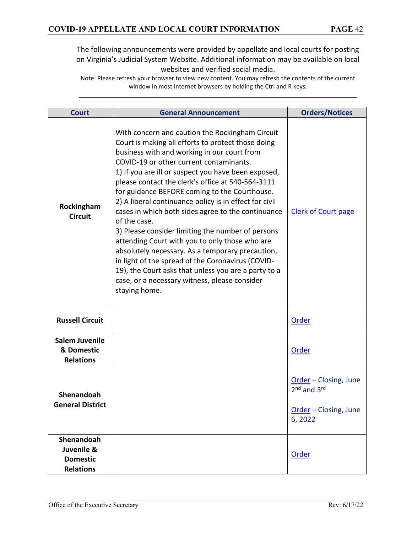| <b>Court</b>                                                    | <b>General Announcement</b>                                                                                                                                                                                                                                                                                                                                                                                                                                                                                                                                                                                                                                                                                                                                                                                                            | <b>Orders/Notices</b>                                                                           |
|-----------------------------------------------------------------|----------------------------------------------------------------------------------------------------------------------------------------------------------------------------------------------------------------------------------------------------------------------------------------------------------------------------------------------------------------------------------------------------------------------------------------------------------------------------------------------------------------------------------------------------------------------------------------------------------------------------------------------------------------------------------------------------------------------------------------------------------------------------------------------------------------------------------------|-------------------------------------------------------------------------------------------------|
| Rockingham<br><b>Circuit</b>                                    | With concern and caution the Rockingham Circuit<br>Court is making all efforts to protect those doing<br>business with and working in our court from<br>COVID-19 or other current contaminants.<br>1) If you are ill or suspect you have been exposed,<br>please contact the clerk's office at 540-564-3111<br>for guidance BEFORE coming to the Courthouse.<br>2) A liberal continuance policy is in effect for civil<br>cases in which both sides agree to the continuance<br>of the case.<br>3) Please consider limiting the number of persons<br>attending Court with you to only those who are<br>absolutely necessary. As a temporary precaution,<br>in light of the spread of the Coronavirus (COVID-<br>19), the Court asks that unless you are a party to a<br>case, or a necessary witness, please consider<br>staying home. | <b>Clerk of Court page</b>                                                                      |
| <b>Russell Circuit</b>                                          |                                                                                                                                                                                                                                                                                                                                                                                                                                                                                                                                                                                                                                                                                                                                                                                                                                        | Order                                                                                           |
| <b>Salem Juvenile</b><br>& Domestic<br><b>Relations</b>         |                                                                                                                                                                                                                                                                                                                                                                                                                                                                                                                                                                                                                                                                                                                                                                                                                                        | Order                                                                                           |
| Shenandoah<br><b>General District</b>                           |                                                                                                                                                                                                                                                                                                                                                                                                                                                                                                                                                                                                                                                                                                                                                                                                                                        | Order - Closing, June<br>2 <sup>nd</sup> and 3 <sup>rd</sup><br>Order - Closing, June<br>6,2022 |
| Shenandoah<br>Juvenile &<br><b>Domestic</b><br><b>Relations</b> |                                                                                                                                                                                                                                                                                                                                                                                                                                                                                                                                                                                                                                                                                                                                                                                                                                        | Order                                                                                           |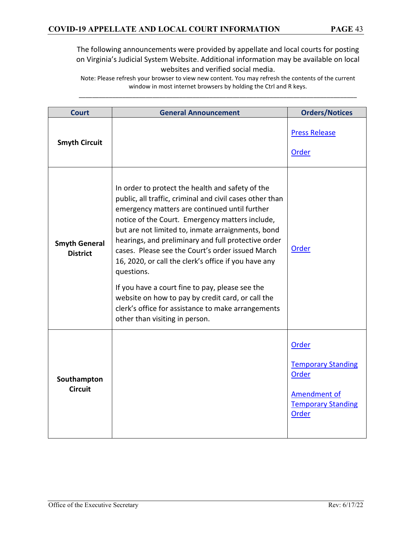| <b>Court</b>                            | <b>General Announcement</b>                                                                                                                                                                                                                                                                                                                                                                                                                                                                                                                                                                                                                            | <b>Orders/Notices</b>                                                                                           |
|-----------------------------------------|--------------------------------------------------------------------------------------------------------------------------------------------------------------------------------------------------------------------------------------------------------------------------------------------------------------------------------------------------------------------------------------------------------------------------------------------------------------------------------------------------------------------------------------------------------------------------------------------------------------------------------------------------------|-----------------------------------------------------------------------------------------------------------------|
| <b>Smyth Circuit</b>                    |                                                                                                                                                                                                                                                                                                                                                                                                                                                                                                                                                                                                                                                        | <b>Press Release</b><br>Order                                                                                   |
| <b>Smyth General</b><br><b>District</b> | In order to protect the health and safety of the<br>public, all traffic, criminal and civil cases other than<br>emergency matters are continued until further<br>notice of the Court. Emergency matters include,<br>but are not limited to, inmate arraignments, bond<br>hearings, and preliminary and full protective order<br>cases. Please see the Court's order issued March<br>16, 2020, or call the clerk's office if you have any<br>questions.<br>If you have a court fine to pay, please see the<br>website on how to pay by credit card, or call the<br>clerk's office for assistance to make arrangements<br>other than visiting in person. | Order                                                                                                           |
| Southampton<br><b>Circuit</b>           |                                                                                                                                                                                                                                                                                                                                                                                                                                                                                                                                                                                                                                                        | Order<br><b>Temporary Standing</b><br>Order<br><b>Amendment of</b><br><b>Temporary Standing</b><br><b>Order</b> |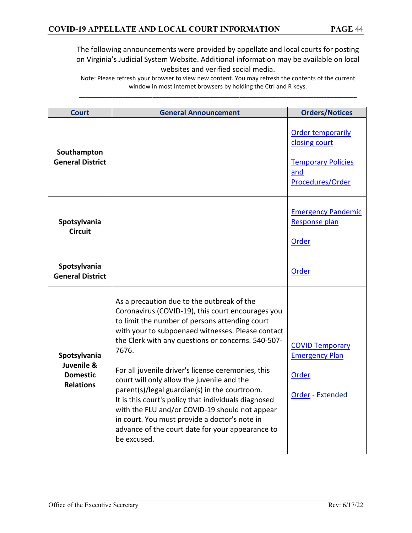| <b>Court</b>                                                      | <b>General Announcement</b>                                                                                                                                                                                                                                                                                                                                                                                                                                                                                                                                                                                                                              | <b>Orders/Notices</b>                                                                             |
|-------------------------------------------------------------------|----------------------------------------------------------------------------------------------------------------------------------------------------------------------------------------------------------------------------------------------------------------------------------------------------------------------------------------------------------------------------------------------------------------------------------------------------------------------------------------------------------------------------------------------------------------------------------------------------------------------------------------------------------|---------------------------------------------------------------------------------------------------|
| Southampton<br><b>General District</b>                            |                                                                                                                                                                                                                                                                                                                                                                                                                                                                                                                                                                                                                                                          | <b>Order temporarily</b><br>closing court<br><b>Temporary Policies</b><br>and<br>Procedures/Order |
| Spotsylvania<br><b>Circuit</b>                                    |                                                                                                                                                                                                                                                                                                                                                                                                                                                                                                                                                                                                                                                          | <b>Emergency Pandemic</b><br>Response plan<br>Order                                               |
| Spotsylvania<br><b>General District</b>                           |                                                                                                                                                                                                                                                                                                                                                                                                                                                                                                                                                                                                                                                          | Order                                                                                             |
| Spotsylvania<br>Juvenile &<br><b>Domestic</b><br><b>Relations</b> | As a precaution due to the outbreak of the<br>Coronavirus (COVID-19), this court encourages you<br>to limit the number of persons attending court<br>with your to subpoenaed witnesses. Please contact<br>the Clerk with any questions or concerns. 540-507-<br>7676.<br>For all juvenile driver's license ceremonies, this<br>court will only allow the juvenile and the<br>parent(s)/legal guardian(s) in the courtroom.<br>It is this court's policy that individuals diagnosed<br>with the FLU and/or COVID-19 should not appear<br>in court. You must provide a doctor's note in<br>advance of the court date for your appearance to<br>be excused. | <b>COVID Temporary</b><br><b>Emergency Plan</b><br>Order<br>Order - Extended                      |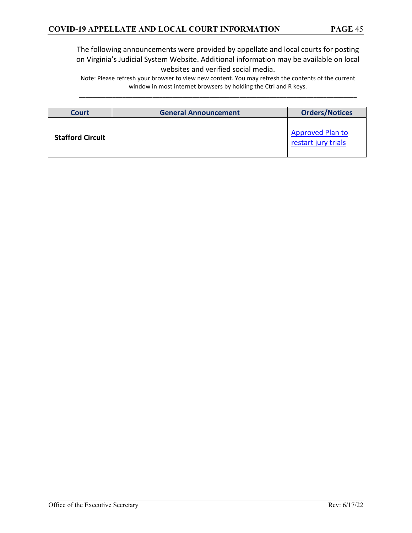| Court                   | <b>General Announcement</b> | <b>Orders/Notices</b>                          |
|-------------------------|-----------------------------|------------------------------------------------|
| <b>Stafford Circuit</b> |                             | <b>Approved Plan to</b><br>restart jury trials |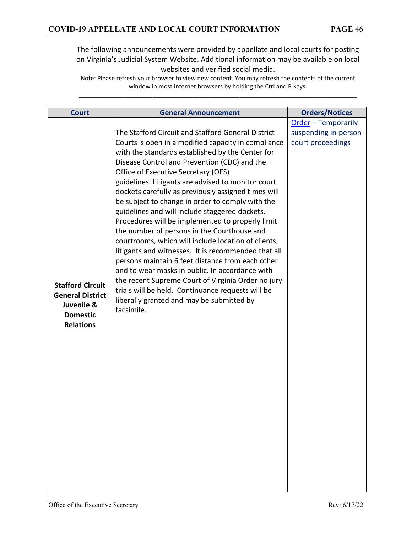| The Stafford Circuit and Stafford General District<br>Courts is open in a modified capacity in compliance<br>court proceedings<br>with the standards established by the Center for<br>Disease Control and Prevention (CDC) and the                                                                                                                                                                                                                                                                                                                                                                                                                                                                                                                                                                                                                              | <b>Court</b> | <b>General Announcement</b><br><b>Orders/Notices</b> |
|-----------------------------------------------------------------------------------------------------------------------------------------------------------------------------------------------------------------------------------------------------------------------------------------------------------------------------------------------------------------------------------------------------------------------------------------------------------------------------------------------------------------------------------------------------------------------------------------------------------------------------------------------------------------------------------------------------------------------------------------------------------------------------------------------------------------------------------------------------------------|--------------|------------------------------------------------------|
| Office of Executive Secretary (OES)<br>guidelines. Litigants are advised to monitor court<br>dockets carefully as previously assigned times will<br>be subject to change in order to comply with the<br>guidelines and will include staggered dockets.<br>Procedures will be implemented to properly limit<br>the number of persons in the Courthouse and<br>courtrooms, which will include location of clients,<br>litigants and witnesses. It is recommended that all<br>persons maintain 6 feet distance from each other<br>and to wear masks in public. In accordance with<br>the recent Supreme Court of Virginia Order no jury<br><b>Stafford Circuit</b><br>trials will be held. Continuance requests will be<br><b>General District</b><br>liberally granted and may be submitted by<br>Juvenile &<br>facsimile.<br><b>Domestic</b><br><b>Relations</b> |              | Order - Temporarily<br>suspending in-person          |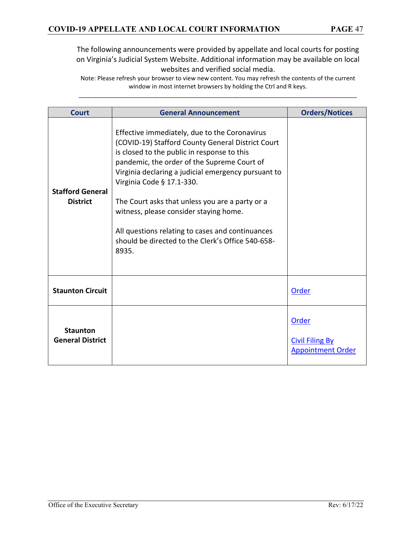| Court                                      | <b>General Announcement</b>                                                                                                                                                                                                                                                                                                                                                                                                                                                                         | <b>Orders/Notices</b>                                       |
|--------------------------------------------|-----------------------------------------------------------------------------------------------------------------------------------------------------------------------------------------------------------------------------------------------------------------------------------------------------------------------------------------------------------------------------------------------------------------------------------------------------------------------------------------------------|-------------------------------------------------------------|
| <b>Stafford General</b><br><b>District</b> | Effective immediately, due to the Coronavirus<br>(COVID-19) Stafford County General District Court<br>is closed to the public in response to this<br>pandemic, the order of the Supreme Court of<br>Virginia declaring a judicial emergency pursuant to<br>Virginia Code § 17.1-330.<br>The Court asks that unless you are a party or a<br>witness, please consider staying home.<br>All questions relating to cases and continuances<br>should be directed to the Clerk's Office 540-658-<br>8935. |                                                             |
| <b>Staunton Circuit</b>                    |                                                                                                                                                                                                                                                                                                                                                                                                                                                                                                     | Order                                                       |
| <b>Staunton</b><br><b>General District</b> |                                                                                                                                                                                                                                                                                                                                                                                                                                                                                                     | Order<br><b>Civil Filing By</b><br><b>Appointment Order</b> |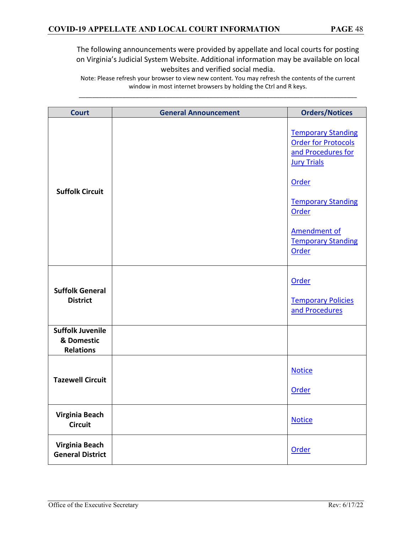| <b>Court</b>                                              | <b>General Announcement</b> | <b>Orders/Notices</b>                                                                               |
|-----------------------------------------------------------|-----------------------------|-----------------------------------------------------------------------------------------------------|
| <b>Suffolk Circuit</b>                                    |                             | <b>Temporary Standing</b><br><b>Order for Protocols</b><br>and Procedures for<br><b>Jury Trials</b> |
|                                                           |                             | Order<br><b>Temporary Standing</b><br>Order                                                         |
|                                                           |                             | <b>Amendment of</b><br><b>Temporary Standing</b><br>Order                                           |
| <b>Suffolk General</b><br><b>District</b>                 |                             | Order<br><b>Temporary Policies</b><br>and Procedures                                                |
| <b>Suffolk Juvenile</b><br>& Domestic<br><b>Relations</b> |                             |                                                                                                     |
| <b>Tazewell Circuit</b>                                   |                             | <b>Notice</b><br>Order                                                                              |
| Virginia Beach<br><b>Circuit</b>                          |                             | <b>Notice</b>                                                                                       |
| Virginia Beach<br><b>General District</b>                 |                             | Order                                                                                               |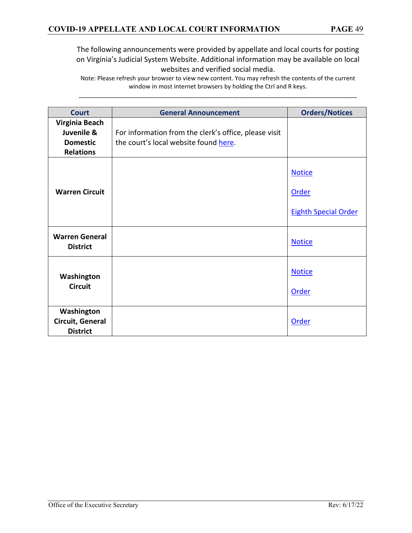| <b>Court</b>                                                        | <b>General Announcement</b>                                                                    | <b>Orders/Notices</b>                                 |
|---------------------------------------------------------------------|------------------------------------------------------------------------------------------------|-------------------------------------------------------|
| Virginia Beach<br>Juvenile &<br><b>Domestic</b><br><b>Relations</b> | For information from the clerk's office, please visit<br>the court's local website found here. |                                                       |
| <b>Warren Circuit</b>                                               |                                                                                                | <b>Notice</b><br>Order<br><b>Eighth Special Order</b> |
| <b>Warren General</b><br><b>District</b>                            |                                                                                                | <b>Notice</b>                                         |
| Washington<br><b>Circuit</b>                                        |                                                                                                | <b>Notice</b><br><b>Order</b>                         |
| Washington<br>Circuit, General<br><b>District</b>                   |                                                                                                | <b>Order</b>                                          |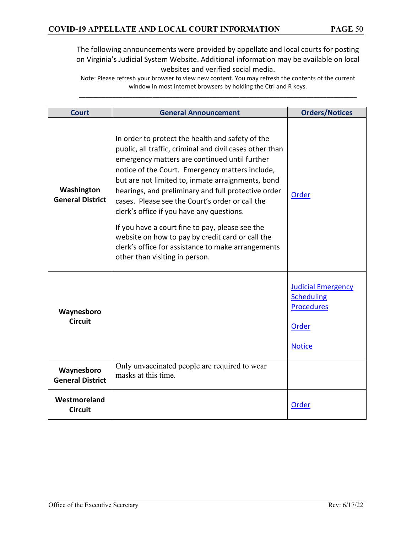| <b>Court</b>                          | <b>General Announcement</b>                                                                                                                                                                                                                                                                                                                                                                                                                                                                                                                                                                                                 | <b>Orders/Notices</b>                                                                                |
|---------------------------------------|-----------------------------------------------------------------------------------------------------------------------------------------------------------------------------------------------------------------------------------------------------------------------------------------------------------------------------------------------------------------------------------------------------------------------------------------------------------------------------------------------------------------------------------------------------------------------------------------------------------------------------|------------------------------------------------------------------------------------------------------|
| Washington<br><b>General District</b> | In order to protect the health and safety of the<br>public, all traffic, criminal and civil cases other than<br>emergency matters are continued until further<br>notice of the Court. Emergency matters include,<br>but are not limited to, inmate arraignments, bond<br>hearings, and preliminary and full protective order<br>cases. Please see the Court's order or call the<br>clerk's office if you have any questions.<br>If you have a court fine to pay, please see the<br>website on how to pay by credit card or call the<br>clerk's office for assistance to make arrangements<br>other than visiting in person. | Order                                                                                                |
| Waynesboro<br><b>Circuit</b>          |                                                                                                                                                                                                                                                                                                                                                                                                                                                                                                                                                                                                                             | <b>Judicial Emergency</b><br><b>Scheduling</b><br><b>Procedures</b><br><b>Order</b><br><b>Notice</b> |
| Waynesboro<br><b>General District</b> | Only unvaccinated people are required to wear<br>masks at this time.                                                                                                                                                                                                                                                                                                                                                                                                                                                                                                                                                        |                                                                                                      |
| Westmoreland<br><b>Circuit</b>        |                                                                                                                                                                                                                                                                                                                                                                                                                                                                                                                                                                                                                             | Order                                                                                                |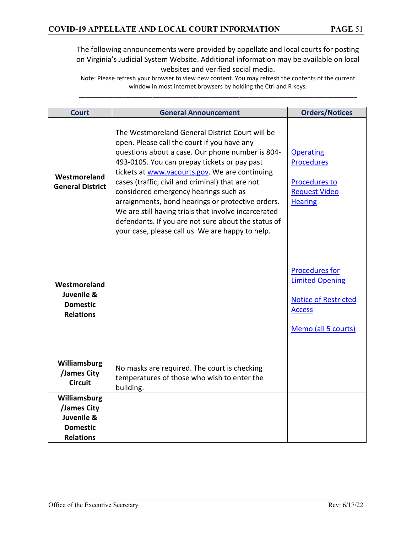| <b>Court</b>                                                                     | <b>General Announcement</b>                                                                                                                                                                                                                                                                                                                                                                                                                                                                                                                                               | <b>Orders/Notices</b>                                                                                                  |
|----------------------------------------------------------------------------------|---------------------------------------------------------------------------------------------------------------------------------------------------------------------------------------------------------------------------------------------------------------------------------------------------------------------------------------------------------------------------------------------------------------------------------------------------------------------------------------------------------------------------------------------------------------------------|------------------------------------------------------------------------------------------------------------------------|
| Westmoreland<br><b>General District</b>                                          | The Westmoreland General District Court will be<br>open. Please call the court if you have any<br>questions about a case. Our phone number is 804-<br>493-0105. You can prepay tickets or pay past<br>tickets at www.vacourts.gov. We are continuing<br>cases (traffic, civil and criminal) that are not<br>considered emergency hearings such as<br>arraignments, bond hearings or protective orders.<br>We are still having trials that involve incarcerated<br>defendants. If you are not sure about the status of<br>your case, please call us. We are happy to help. | <b>Operating</b><br><b>Procedures</b><br><b>Procedures to</b><br><b>Request Video</b><br><b>Hearing</b>                |
| Westmoreland<br>Juvenile &<br><b>Domestic</b><br><b>Relations</b>                |                                                                                                                                                                                                                                                                                                                                                                                                                                                                                                                                                                           | <b>Procedures for</b><br><b>Limited Opening</b><br><b>Notice of Restricted</b><br><b>Access</b><br>Memo (all 5 courts) |
| Williamsburg<br>/James City<br><b>Circuit</b>                                    | No masks are required. The court is checking<br>temperatures of those who wish to enter the<br>building.                                                                                                                                                                                                                                                                                                                                                                                                                                                                  |                                                                                                                        |
| Williamsburg<br>/James City<br>Juvenile &<br><b>Domestic</b><br><b>Relations</b> |                                                                                                                                                                                                                                                                                                                                                                                                                                                                                                                                                                           |                                                                                                                        |